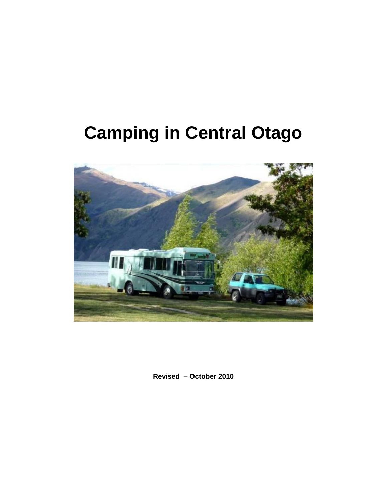# **Camping in Central Otago**



**Revised – October 2010**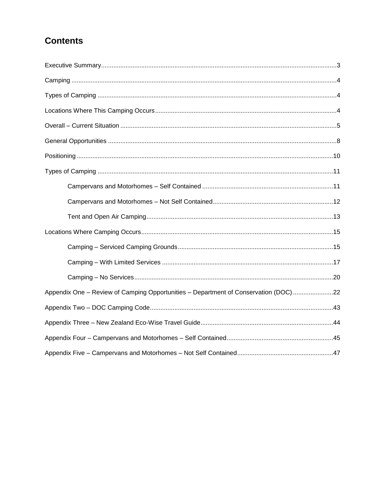# **Contents**

| Appendix One - Review of Camping Opportunities - Department of Conservation (DOC) 22 |
|--------------------------------------------------------------------------------------|
|                                                                                      |
|                                                                                      |
|                                                                                      |
|                                                                                      |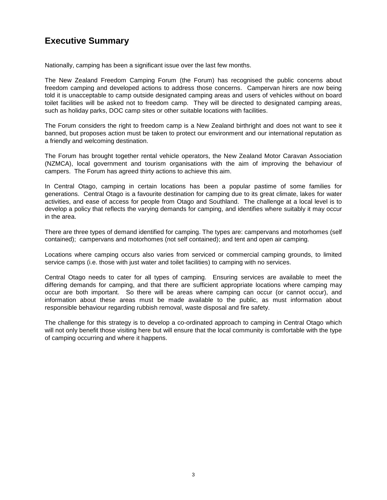# **Executive Summary**

Nationally, camping has been a significant issue over the last few months.

The New Zealand Freedom Camping Forum (the Forum) has recognised the public concerns about freedom camping and developed actions to address those concerns. Campervan hirers are now being told it is unacceptable to camp outside designated camping areas and users of vehicles without on board toilet facilities will be asked not to freedom camp. They will be directed to designated camping areas, such as holiday parks, DOC camp sites or other suitable locations with facilities.

The Forum considers the right to freedom camp is a New Zealand birthright and does not want to see it banned, but proposes action must be taken to protect our environment and our international reputation as a friendly and welcoming destination.

The Forum has brought together rental vehicle operators, the New Zealand Motor Caravan Association (NZMCA), local government and tourism organisations with the aim of improving the behaviour of campers. The Forum has agreed thirty actions to achieve this aim.

In Central Otago, camping in certain locations has been a popular pastime of some families for generations. Central Otago is a favourite destination for camping due to its great climate, lakes for water activities, and ease of access for people from Otago and Southland. The challenge at a local level is to develop a policy that reflects the varying demands for camping, and identifies where suitably it may occur in the area.

There are three types of demand identified for camping. The types are: campervans and motorhomes (self contained); campervans and motorhomes (not self contained); and tent and open air camping.

Locations where camping occurs also varies from serviced or commercial camping grounds, to limited service camps (i.e. those with just water and toilet facilities) to camping with no services.

Central Otago needs to cater for all types of camping. Ensuring services are available to meet the differing demands for camping, and that there are sufficient appropriate locations where camping may occur are both important. So there will be areas where camping can occur (or cannot occur), and information about these areas must be made available to the public, as must information about responsible behaviour regarding rubbish removal, waste disposal and fire safety.

The challenge for this strategy is to develop a co-ordinated approach to camping in Central Otago which will not only benefit those visiting here but will ensure that the local community is comfortable with the type of camping occurring and where it happens.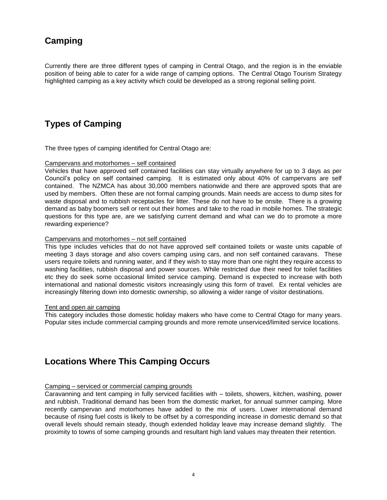# **Camping**

Currently there are three different types of camping in Central Otago, and the region is in the enviable position of being able to cater for a wide range of camping options. The Central Otago Tourism Strategy highlighted camping as a key activity which could be developed as a strong regional selling point.

# **Types of Camping**

The three types of camping identified for Central Otago are:

#### Campervans and motorhomes – self contained

Vehicles that have approved self contained facilities can stay virtually anywhere for up to 3 days as per Council"s policy on self contained camping. It is estimated only about 40% of campervans are self contained. The NZMCA has about 30,000 members nationwide and there are approved spots that are used by members. Often these are not formal camping grounds. Main needs are access to dump sites for waste disposal and to rubbish receptacles for litter. These do not have to be onsite. There is a growing demand as baby boomers sell or rent out their homes and take to the road in mobile homes. The strategic questions for this type are, are we satisfying current demand and what can we do to promote a more rewarding experience?

#### Campervans and motorhomes – not self contained

This type includes vehicles that do not have approved self contained toilets or waste units capable of meeting 3 days storage and also covers camping using cars, and non self contained caravans. These users require toilets and running water, and if they wish to stay more than one night they require access to washing facilities, rubbish disposal and power sources. While restricted due their need for toilet facilities etc they do seek some occasional limited service camping. Demand is expected to increase with both international and national domestic visitors increasingly using this form of travel. Ex rental vehicles are increasingly filtering down into domestic ownership, so allowing a wider range of visitor destinations.

#### Tent and open air camping

This category includes those domestic holiday makers who have come to Central Otago for many years. Popular sites include commercial camping grounds and more remote unserviced/limited service locations.

# **Locations Where This Camping Occurs**

#### Camping – serviced or commercial camping grounds

Caravanning and tent camping in fully serviced facilities with – toilets, showers, kitchen, washing, power and rubbish. Traditional demand has been from the domestic market, for annual summer camping. More recently campervan and motorhomes have added to the mix of users. Lower international demand because of rising fuel costs is likely to be offset by a corresponding increase in domestic demand so that overall levels should remain steady, though extended holiday leave may increase demand slightly. The proximity to towns of some camping grounds and resultant high land values may threaten their retention.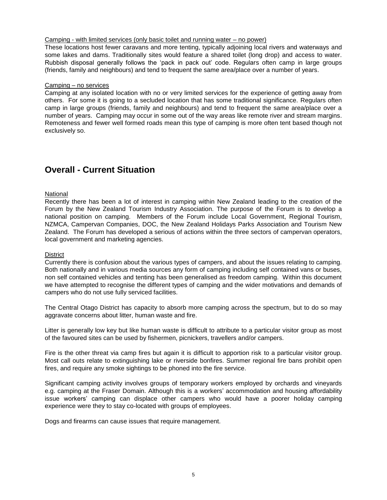#### Camping - with limited services (only basic toilet and running water – no power)

These locations host fewer caravans and more tenting, typically adjoining local rivers and waterways and some lakes and dams. Traditionally sites would feature a shared toilet (long drop) and access to water. Rubbish disposal generally follows the "pack in pack out" code. Regulars often camp in large groups (friends, family and neighbours) and tend to frequent the same area/place over a number of years.

#### Camping – no services

Camping at any isolated location with no or very limited services for the experience of getting away from others. For some it is going to a secluded location that has some traditional significance. Regulars often camp in large groups (friends, family and neighbours) and tend to frequent the same area/place over a number of years. Camping may occur in some out of the way areas like remote river and stream margins. Remoteness and fewer well formed roads mean this type of camping is more often tent based though not exclusively so.

# **Overall - Current Situation**

#### **National**

Recently there has been a lot of interest in camping within New Zealand leading to the creation of the Forum by the New Zealand Tourism Industry Association. The purpose of the Forum is to develop a national position on camping. Members of the Forum include Local Government, Regional Tourism, NZMCA, Campervan Companies, DOC, the New Zealand Holidays Parks Association and Tourism New Zealand. The Forum has developed a serious of actions within the three sectors of campervan operators, local government and marketing agencies.

#### **District**

Currently there is confusion about the various types of campers, and about the issues relating to camping. Both nationally and in various media sources any form of camping including self contained vans or buses, non self contained vehicles and tenting has been generalised as freedom camping. Within this document we have attempted to recognise the different types of camping and the wider motivations and demands of campers who do not use fully serviced facilities.

The Central Otago District has capacity to absorb more camping across the spectrum, but to do so may aggravate concerns about litter, human waste and fire.

Litter is generally low key but like human waste is difficult to attribute to a particular visitor group as most of the favoured sites can be used by fishermen, picnickers, travellers and/or campers.

Fire is the other threat via camp fires but again it is difficult to apportion risk to a particular visitor group. Most call outs relate to extinguishing lake or riverside bonfires. Summer regional fire bans prohibit open fires, and require any smoke sightings to be phoned into the fire service.

Significant camping activity involves groups of temporary workers employed by orchards and vineyards e.g. camping at the Fraser Domain. Although this is a workers' accommodation and housing affordability issue workers" camping can displace other campers who would have a poorer holiday camping experience were they to stay co-located with groups of employees.

Dogs and firearms can cause issues that require management.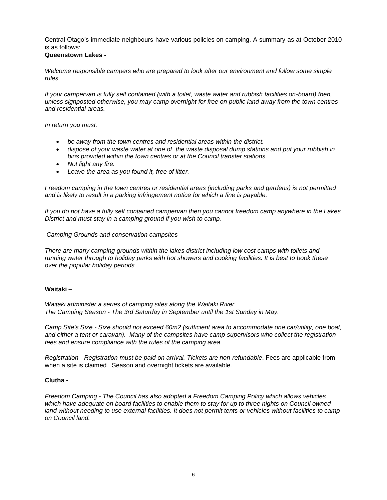Central Otago"s immediate neighbours have various policies on camping. A summary as at October 2010 is as follows:

#### **Queenstown Lakes -**

*Welcome responsible campers who are prepared to look after our environment and follow some simple rules.*

*If your campervan is fully self contained (with a toilet, waste water and rubbish facilities on-board) then, unless signposted otherwise, you may camp overnight for free on public land away from the town centres and residential areas.*

*In return you must:*

- *be away from the town centres and residential areas within the district.*
- *dispose of your waste water at one of the waste disposal dump stations and put your rubbish in bins provided within the town centres or at the Council transfer stations.*
- *Not light any fire.*
- *Leave the area as you found it, free of litter.*

*Freedom camping in the town centres or residential areas (including parks and gardens) is not permitted and is likely to result in a parking infringement notice for which a fine is payable.*

*If you do not have a fully self contained campervan then you cannot freedom camp anywhere in the Lakes District and must stay in a camping ground if you wish to camp.*

#### *Camping Grounds and conservation campsites*

*There are many camping grounds within the lakes district including low cost camps with toilets and running water through to holiday parks with hot showers and cooking facilities. It is best to book these over the popular holiday periods.*

#### **Waitaki –**

*Waitaki administer a series of camping sites along the Waitaki River. The Camping Season - The 3rd Saturday in September until the 1st Sunday in May.*

*Camp Site's Size - Size should not exceed 60m2 (sufficient area to accommodate one car/utility, one boat, and either a tent or caravan). Many of the campsites have camp supervisors who collect the registration fees and ensure compliance with the rules of the camping area.*

*Registration - Registration must be paid on arrival. Tickets are non-refundable*. Fees are applicable from when a site is claimed. Season and overnight tickets are available.

#### **Clutha -**

*Freedom Camping - The Council has also adopted a Freedom Camping Policy which allows vehicles*  which have adequate on board facilities to enable them to stay for up to three nights on Council owned land without needing to use external facilities. It does not permit tents or vehicles without facilities to camp *on Council land.*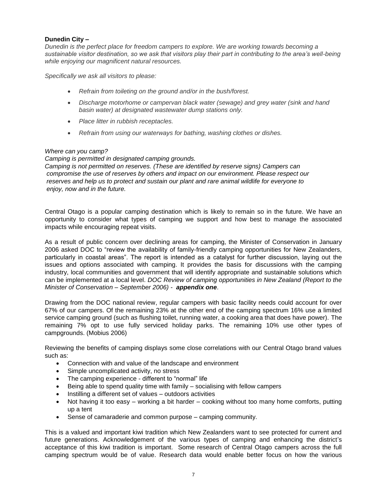#### **Dunedin City –**

*Dunedin is the perfect place for freedom campers to explore. We are working towards becoming a sustainable visitor destination, so we ask that visitors play their part in contributing to the area"s well-being while enjoying our magnificent natural resources.*

*Specifically we ask all visitors to please:* 

- *Refrain from toileting on the ground and/or in the bush/forest.*
- *Discharge motorhome or campervan black water (sewage) and grey water (sink and hand basin water) at designated wastewater dump stations only.*
- *Place litter in rubbish receptacles.*
- *Refrain from using our waterways for bathing, washing clothes or dishes.*

#### *Where can you camp?*

*Camping is permitted in designated camping grounds. Camping is not permitted on reserves. (These are identified by reserve signs) Campers can compromise the use of reserves by others and impact on our environment. Please respect our reserves and help us to protect and sustain our plant and rare animal wildlife for everyone to enjoy, now and in the future.*

Central Otago is a popular camping destination which is likely to remain so in the future. We have an opportunity to consider what types of camping we support and how best to manage the associated impacts while encouraging repeat visits.

As a result of public concern over declining areas for camping, the Minister of Conservation in January 2006 asked DOC to "review the availability of family-friendly camping opportunities for New Zealanders, particularly in coastal areas". The report is intended as a catalyst for further discussion, laying out the issues and options associated with camping. It provides the basis for discussions with the camping industry, local communities and government that will identify appropriate and sustainable solutions which can be implemented at a local level. *DOC Review of camping opportunities in New Zealand (Report to the Minister of Conservation – September 2006) - appendix one*.

Drawing from the DOC national review, regular campers with basic facility needs could account for over 67% of our campers. Of the remaining 23% at the other end of the camping spectrum 16% use a limited service camping ground (such as flushing toilet, running water, a cooking area that does have power). The remaining 7% opt to use fully serviced holiday parks. The remaining 10% use other types of campgrounds. (Mobius 2006)

Reviewing the benefits of camping displays some close correlations with our Central Otago brand values such as:

- Connection with and value of the landscape and environment
- Simple uncomplicated activity, no stress
- The camping experience different to "normal" life
- Being able to spend quality time with family socialising with fellow campers
- Instilling a different set of values outdoors activities
- Not having it too easy working a bit harder cooking without too many home comforts, putting up a tent
- Sense of camaraderie and common purpose camping community.

This is a valued and important kiwi tradition which New Zealanders want to see protected for current and future generations. Acknowledgement of the various types of camping and enhancing the district's acceptance of this kiwi tradition is important. Some research of Central Otago campers across the full camping spectrum would be of value. Research data would enable better focus on how the various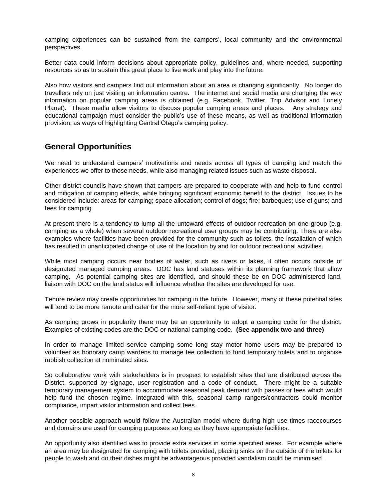camping experiences can be sustained from the campers", local community and the environmental perspectives.

Better data could inform decisions about appropriate policy, guidelines and, where needed, supporting resources so as to sustain this great place to live work and play into the future.

Also how visitors and campers find out information about an area is changing significantly. No longer do travellers rely on just visiting an information centre. The internet and social media are changing the way information on popular camping areas is obtained (e.g. Facebook, Twitter, Trip Advisor and Lonely Planet). These media allow visitors to discuss popular camping areas and places. Any strategy and educational campaign must consider the public"s use of these means, as well as traditional information provision, as ways of highlighting Central Otago"s camping policy.

### **General Opportunities**

We need to understand campers' motivations and needs across all types of camping and match the experiences we offer to those needs, while also managing related issues such as waste disposal.

Other district councils have shown that campers are prepared to cooperate with and help to fund control and mitigation of camping effects, while bringing significant economic benefit to the district. Issues to be considered include: areas for camping; space allocation; control of dogs; fire; barbeques; use of guns; and fees for camping.

At present there is a tendency to lump all the untoward effects of outdoor recreation on one group (e.g. camping as a whole) when several outdoor recreational user groups may be contributing. There are also examples where facilities have been provided for the community such as toilets, the installation of which has resulted in unanticipated change of use of the location by and for outdoor recreational activities.

While most camping occurs near bodies of water, such as rivers or lakes, it often occurs outside of designated managed camping areas. DOC has land statuses within its planning framework that allow camping. As potential camping sites are identified, and should these be on DOC administered land, liaison with DOC on the land status will influence whether the sites are developed for use.

Tenure review may create opportunities for camping in the future. However, many of these potential sites will tend to be more remote and cater for the more self-reliant type of visitor.

As camping grows in popularity there may be an opportunity to adopt a camping code for the district. Examples of existing codes are the DOC or national camping code. **(See appendix two and three)** 

In order to manage limited service camping some long stay motor home users may be prepared to volunteer as honorary camp wardens to manage fee collection to fund temporary toilets and to organise rubbish collection at nominated sites.

So collaborative work with stakeholders is in prospect to establish sites that are distributed across the District, supported by signage, user registration and a code of conduct. There might be a suitable temporary management system to accommodate seasonal peak demand with passes or fees which would help fund the chosen regime. Integrated with this, seasonal camp rangers/contractors could monitor compliance, impart visitor information and collect fees.

Another possible approach would follow the Australian model where during high use times racecourses and domains are used for camping purposes so long as they have appropriate facilities.

An opportunity also identified was to provide extra services in some specified areas. For example where an area may be designated for camping with toilets provided, placing sinks on the outside of the toilets for people to wash and do their dishes might be advantageous provided vandalism could be minimised.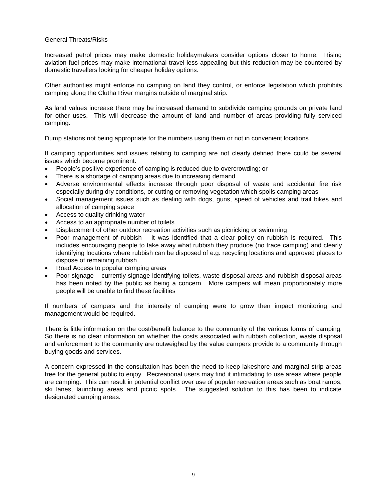#### General Threats/Risks

Increased petrol prices may make domestic holidaymakers consider options closer to home. Rising aviation fuel prices may make international travel less appealing but this reduction may be countered by domestic travellers looking for cheaper holiday options.

Other authorities might enforce no camping on land they control, or enforce legislation which prohibits camping along the Clutha River margins outside of marginal strip.

As land values increase there may be increased demand to subdivide camping grounds on private land for other uses. This will decrease the amount of land and number of areas providing fully serviced camping.

Dump stations not being appropriate for the numbers using them or not in convenient locations.

If camping opportunities and issues relating to camping are not clearly defined there could be several issues which become prominent:

- People"s positive experience of camping is reduced due to overcrowding; or
- There is a shortage of camping areas due to increasing demand
- Adverse environmental effects increase through poor disposal of waste and accidental fire risk especially during dry conditions, or cutting or removing vegetation which spoils camping areas
- Social management issues such as dealing with dogs, guns, speed of vehicles and trail bikes and allocation of camping space
- Access to quality drinking water
- Access to an appropriate number of toilets
- Displacement of other outdoor recreation activities such as picnicking or swimming
- Poor management of rubbish it was identified that a clear policy on rubbish is required. This includes encouraging people to take away what rubbish they produce (no trace camping) and clearly identifying locations where rubbish can be disposed of e.g. recycling locations and approved places to dispose of remaining rubbish
- Road Access to popular camping areas
- Poor signage currently signage identifying toilets, waste disposal areas and rubbish disposal areas has been noted by the public as being a concern. More campers will mean proportionately more people will be unable to find these facilities

If numbers of campers and the intensity of camping were to grow then impact monitoring and management would be required.

There is little information on the cost/benefit balance to the community of the various forms of camping. So there is no clear information on whether the costs associated with rubbish collection, waste disposal and enforcement to the community are outweighed by the value campers provide to a community through buying goods and services.

A concern expressed in the consultation has been the need to keep lakeshore and marginal strip areas free for the general public to enjoy. Recreational users may find it intimidating to use areas where people are camping. This can result in potential conflict over use of popular recreation areas such as boat ramps, ski lanes, launching areas and picnic spots. The suggested solution to this has been to indicate designated camping areas.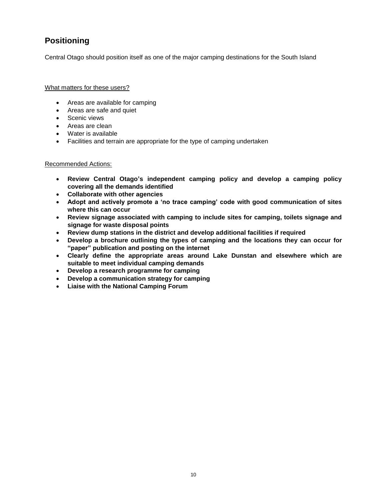# **Positioning**

Central Otago should position itself as one of the major camping destinations for the South Island

What matters for these users?

- Areas are available for camping
- Areas are safe and quiet
- Scenic views
- Areas are clean
- Water is available
- Facilities and terrain are appropriate for the type of camping undertaken

#### Recommended Actions:

- **Review Central Otago"s independent camping policy and develop a camping policy covering all the demands identified**
- **Collaborate with other agencies**
- **Adopt and actively promote a "no trace camping" code with good communication of sites where this can occur**
- **Review signage associated with camping to include sites for camping, toilets signage and signage for waste disposal points**
- **Review dump stations in the district and develop additional facilities if required**
- **Develop a brochure outlining the types of camping and the locations they can occur for "paper" publication and posting on the internet**
- **Clearly define the appropriate areas around Lake Dunstan and elsewhere which are suitable to meet individual camping demands**
- **Develop a research programme for camping**
- **Develop a communication strategy for camping**
- **Liaise with the National Camping Forum**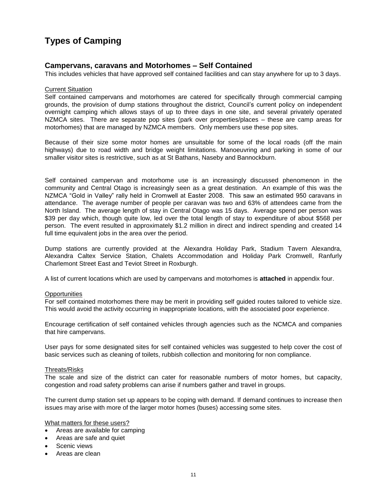# **Types of Camping**

### **Campervans, caravans and Motorhomes – Self Contained**

This includes vehicles that have approved self contained facilities and can stay anywhere for up to 3 days.

#### Current Situation

Self contained campervans and motorhomes are catered for specifically through commercial camping grounds, the provision of dump stations throughout the district, Council"s current policy on independent overnight camping which allows stays of up to three days in one site, and several privately operated NZMCA sites. There are separate pop sites (park over properties/places – these are camp areas for motorhomes) that are managed by NZMCA members. Only members use these pop sites.

Because of their size some motor homes are unsuitable for some of the local roads (off the main highways) due to road width and bridge weight limitations. Manoeuvring and parking in some of our smaller visitor sites is restrictive, such as at St Bathans, Naseby and Bannockburn.

Self contained campervan and motorhome use is an increasingly discussed phenomenon in the community and Central Otago is increasingly seen as a great destination. An example of this was the NZMCA "Gold in Valley" rally held in Cromwell at Easter 2008. This saw an estimated 950 caravans in attendance. The average number of people per caravan was two and 63% of attendees came from the North Island. The average length of stay in Central Otago was 15 days. Average spend per person was \$39 per day which, though quite low, led over the total length of stay to expenditure of about \$568 per person. The event resulted in approximately \$1.2 million in direct and indirect spending and created 14 full time equivalent jobs in the area over the period.

Dump stations are currently provided at the Alexandra Holiday Park, Stadium Tavern Alexandra, Alexandra Caltex Service Station, Chalets Accommodation and Holiday Park Cromwell, Ranfurly Charlemont Street East and Teviot Street in Roxburgh.

A list of current locations which are used by campervans and motorhomes is **attached** in appendix four.

#### **Opportunities**

For self contained motorhomes there may be merit in providing self guided routes tailored to vehicle size. This would avoid the activity occurring in inappropriate locations, with the associated poor experience.

Encourage certification of self contained vehicles through agencies such as the NCMCA and companies that hire campervans.

User pays for some designated sites for self contained vehicles was suggested to help cover the cost of basic services such as cleaning of toilets, rubbish collection and monitoring for non compliance.

#### Threats/Risks

The scale and size of the district can cater for reasonable numbers of motor homes, but capacity, congestion and road safety problems can arise if numbers gather and travel in groups.

The current dump station set up appears to be coping with demand. If demand continues to increase then issues may arise with more of the larger motor homes (buses) accessing some sites.

What matters for these users?

- Areas are available for camping
- Areas are safe and quiet
- Scenic views
- Areas are clean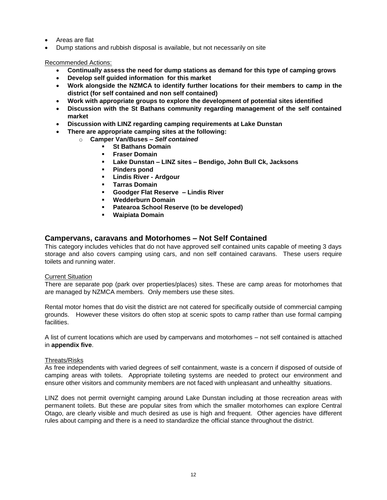- Areas are flat
- Dump stations and rubbish disposal is available, but not necessarily on site

Recommended Actions:

- **Continually assess the need for dump stations as demand for this type of camping grows**
- **Develop self guided information for this market**
- **Work alongside the NZMCA to identify further locations for their members to camp in the district (for self contained and non self contained)**
- **Work with appropriate groups to explore the development of potential sites identified**
- **Discussion with the St Bathans community regarding management of the self contained market**
- **Discussion with LINZ regarding camping requirements at Lake Dunstan**
	- **There are appropriate camping sites at the following:** 
		- o **Camper Van/Buses –** *Self contained*
			- **St Bathans Domain**
			- **Fraser Domain**
			- **Lake Dunstan – LINZ sites – Bendigo, John Bull Ck, Jacksons**
			- **Pinders pond**
			- **Lindis River - Ardgour**
			- **Tarras Domain**
			- **Goodger Flat Reserve – Lindis River**
			- **Wedderburn Domain**<br>**Patearoa School Rese**
			- **Patearoa School Reserve (to be developed)**
			- **Waipiata Domain**

### **Campervans, caravans and Motorhomes – Not Self Contained**

This category includes vehicles that do not have approved self contained units capable of meeting 3 days storage and also covers camping using cars, and non self contained caravans. These users require toilets and running water.

#### Current Situation

There are separate pop (park over properties/places) sites. These are camp areas for motorhomes that are managed by NZMCA members. Only members use these sites.

Rental motor homes that do visit the district are not catered for specifically outside of commercial camping grounds. However these visitors do often stop at scenic spots to camp rather than use formal camping facilities.

A list of current locations which are used by campervans and motorhomes – not self contained is attached in **appendix five**.

#### Threats/Risks

As free independents with varied degrees of self containment, waste is a concern if disposed of outside of camping areas with toilets. Appropriate toileting systems are needed to protect our environment and ensure other visitors and community members are not faced with unpleasant and unhealthy situations.

LINZ does not permit overnight camping around Lake Dunstan including at those recreation areas with permanent toilets. But these are popular sites from which the smaller motorhomes can explore Central Otago, are clearly visible and much desired as use is high and frequent. Other agencies have different rules about camping and there is a need to standardize the official stance throughout the district.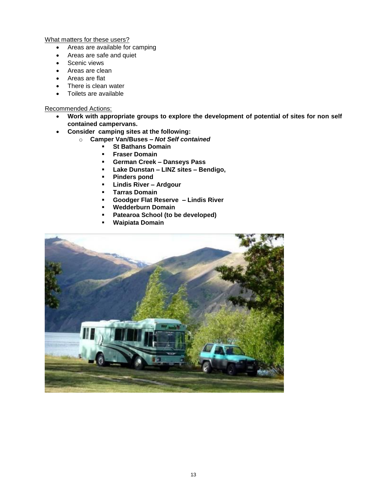What matters for these users?

- Areas are available for camping
- Areas are safe and quiet
- Scenic views
- Areas are clean
- Areas are flat
- There is clean water
- Toilets are available

Recommended Actions:

- **Work with appropriate groups to explore the development of potential of sites for non self contained campervans.**
- **Consider camping sites at the following:**
	- o **Camper Van/Buses –** *Not Self contained*
		- **St Bathans Domain**
		- **Fraser Domain**
		- **German Creek – Danseys Pass**
		- **Lake Dunstan – LINZ sites – Bendigo,**
		- **Pinders pond**
		- **Lindis River – Ardgour**
		- **Tarras Domain**
		- **Goodger Flat Reserve – Lindis River**
		- **Wedderburn Domain**
		- **Patearoa School (to be developed)**
		- **Waipiata Domain**

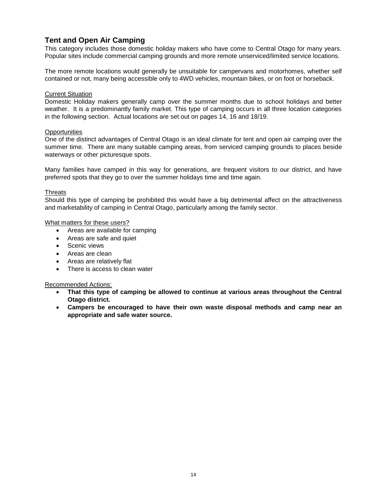### **Tent and Open Air Camping**

This category includes those domestic holiday makers who have come to Central Otago for many years. Popular sites include commercial camping grounds and more remote unserviced/limited service locations.

The more remote locations would generally be unsuitable for campervans and motorhomes, whether self contained or not, many being accessible only to 4WD vehicles, mountain bikes, or on foot or horseback.

#### **Current Situation**

Domestic Holiday makers generally camp over the summer months due to school holidays and better weather. It is a predominantly family market. This type of camping occurs in all three location categories in the following section. Actual locations are set out on pages 14, 16 and 18/19.

#### **Opportunities**

One of the distinct advantages of Central Otago is an ideal climate for tent and open air camping over the summer time. There are many suitable camping areas, from serviced camping grounds to places beside waterways or other picturesque spots.

Many families have camped in this way for generations, are frequent visitors to our district, and have preferred spots that they go to over the summer holidays time and time again.

#### **Threats**

Should this type of camping be prohibited this would have a big detrimental affect on the attractiveness and marketability of camping in Central Otago, particularly among the family sector.

#### What matters for these users?

- Areas are available for camping
- Areas are safe and quiet
- Scenic views
- Areas are clean
- Areas are relatively flat
- There is access to clean water

#### Recommended Actions:

- **That this type of camping be allowed to continue at various areas throughout the Central Otago district.**
- **Campers be encouraged to have their own waste disposal methods and camp near an appropriate and safe water source.**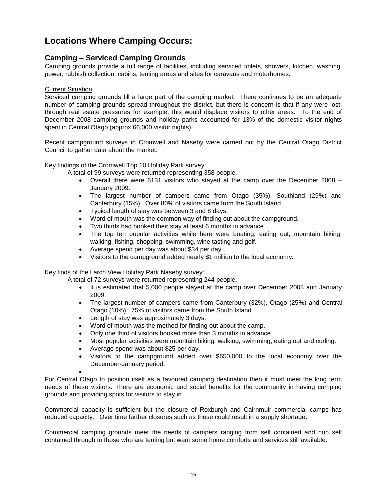# **Locations Where Camping Occurs:**

### **Camping – Serviced Camping Grounds**

Camping grounds provide a full range of facilities, including serviced toilets, showers, kitchen, washing, power, rubbish collection, cabins, tenting areas and sites for caravans and motorhomes.

#### Current Situation

Serviced camping grounds fill a large part of the camping market. There continues to be an adequate number of camping grounds spread throughout the district, but there is concern is that if any were lost, through real estate pressures for example, this would displace visitors to other areas. To the end of December 2008 camping grounds and holiday parks accounted for 13% of the domestic visitor nights spent in Central Otago (approx 66,000 visitor nights).

Recent campground surveys in Cromwell and Naseby were carried out by the Central Otago District Council to gather data about the market.

Key findings of the Cromwell Top 10 Holiday Park survey:

A total of 99 surveys were returned representing 358 people.

- Overall there were 6131 visitors who stayed at the camp over the December 2008 January 2009.
- The largest number of campers came from Otago (35%), Southland (29%) and Canterbury (15%). Over 80% of visitors came from the South Island.
- Typical length of stay was between 3 and 8 days.
- Word of mouth was the common way of finding out about the campground.
- Two thirds had booked their stay at least 6 months in advance.
- The top ten popular activities while here were boating, eating out, mountain biking, walking, fishing, shopping, swimming, wine tasting and golf.
- Average spend per day was about \$34 per day.
- Visitors to the campground added nearly \$1 million to the local economy.

Key finds of the Larch View Holiday Park Naseby survey:

A total of 72 surveys were returned representing 244 people.

- It is estimated that 5,000 people stayed at the camp over December 2008 and January 2009.
- The largest number of campers came from Canterbury (32%), Otago (25%) and Central Otago (10%). 75% of visitors came from the South Island.
- Length of stay was approximately 3 days.
- Word of mouth was the method for finding out about the camp.
- Only one third of visitors booked more than 3 months in advance.
- Most popular activities were mountain biking, walking, swimming, eating out and curling.
- Average spend was about \$25 per day.
- Visitors to the campground added over \$650,000 to the local economy over the December-January period.

 $\bullet$ 

For Central Otago to position itself as a favoured camping destination then it must meet the long term needs of these visitors. There are economic and social benefits for the community in having camping grounds and providing spots for visitors to stay in.

Commercial capacity is sufficient but the closure of Roxburgh and Cairnmuir commercial camps has reduced capacity. Over time further closures such as these could result in a supply shortage.

Commercial camping grounds meet the needs of campers ranging from self contained and non self contained through to those who are tenting but want some home comforts and services still available.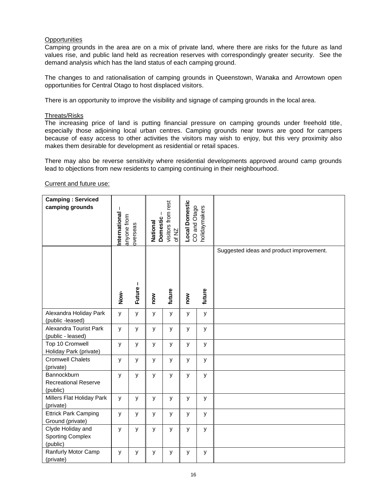#### **Opportunities**

Camping grounds in the area are on a mix of private land, where there are risks for the future as land values rise, and public land held as recreation reserves with correspondingly greater security. See the demand analysis which has the land status of each camping ground.

The changes to and rationalisation of camping grounds in Queenstown, Wanaka and Arrowtown open opportunities for Central Otago to host displaced visitors.

There is an opportunity to improve the visibility and signage of camping grounds in the local area.

#### Threats/Risks

The increasing price of land is putting financial pressure on camping grounds under freehold title, especially those adjoining local urban centres. Camping grounds near towns are good for campers because of easy access to other activities the visitors may wish to enjoy, but this very proximity also makes them desirable for development as residential or retail spaces.

There may also be reverse sensitivity where residential developments approved around camp grounds lead to objections from new residents to camping continuing in their neighbourhood.

Current and future use:

| <b>Camping: Serviced</b><br>camping grounds              | International<br>anyone from | overseas      | National | visitors from rest<br><b>Domestic</b><br>of NZ |     | holidaymakers<br>CO and Otago |                                          |
|----------------------------------------------------------|------------------------------|---------------|----------|------------------------------------------------|-----|-------------------------------|------------------------------------------|
|                                                          | Now-                         | J.<br>Future- | now      | future                                         | now | future                        | Suggested ideas and product improvement. |
| Alexandra Holiday Park<br>(public -leased)               | y                            | У             | У        | У                                              | y   | У                             |                                          |
| Alexandra Tourist Park<br>(public - leased)              | y                            | y             | y        | y                                              | y   | y                             |                                          |
| Top 10 Cromwell<br>Holiday Park (private)                | У                            | У             | y        | У                                              | y   | У                             |                                          |
| <b>Cromwell Chalets</b><br>(private)                     | у                            | У             | У        | У                                              | У   | у                             |                                          |
| Bannockburn<br><b>Recreational Reserve</b><br>(public)   | y                            | y             | y        | У                                              | У   | y                             |                                          |
| Millers Flat Holiday Park<br>(private)                   | y                            | У             | У        | y                                              | y   | y                             |                                          |
| <b>Ettrick Park Camping</b><br>Ground (private)          | У                            | У             | y        | У                                              | y   | У                             |                                          |
| Clyde Holiday and<br><b>Sporting Complex</b><br>(public) | y                            | y             | y        | У                                              | У   | у                             |                                          |
| Ranfurly Motor Camp<br>(private)                         | y                            | y             | У        | У                                              | y   | у                             |                                          |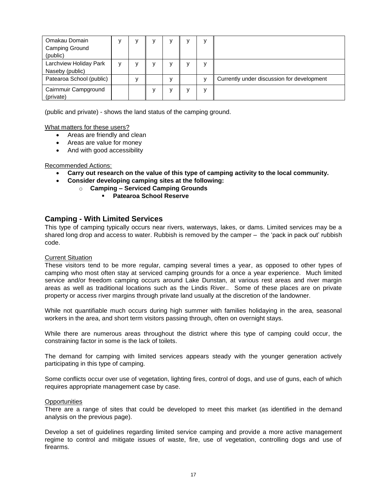| Omakau Domain            |   |  |  | $\mathbf v$ |                                            |
|--------------------------|---|--|--|-------------|--------------------------------------------|
| <b>Camping Ground</b>    |   |  |  |             |                                            |
| (public)                 |   |  |  |             |                                            |
| Larchview Holiday Park   | v |  |  | $\mathbf v$ |                                            |
| Naseby (public)          |   |  |  |             |                                            |
| Patearoa School (public) |   |  |  |             | Currently under discussion for development |
| Cairnmuir Campground     |   |  |  | $\mathbf v$ |                                            |
| (private)                |   |  |  |             |                                            |

(public and private) - shows the land status of the camping ground.

What matters for these users?

- Areas are friendly and clean
- Areas are value for money
- And with good accessibility

#### Recommended Actions:

- **Carry out research on the value of this type of camping activity to the local community.**
- **Consider developing camping sites at the following:**
	- o **Camping – Serviced Camping Grounds** 
		- **Patearoa School Reserve**

### **Camping - With Limited Services**

This type of camping typically occurs near rivers, waterways, lakes, or dams. Limited services may be a shared long drop and access to water. Rubbish is removed by the camper – the "pack in pack out" rubbish code.

#### Current Situation

These visitors tend to be more regular, camping several times a year, as opposed to other types of camping who most often stay at serviced camping grounds for a once a year experience. Much limited service and/or freedom camping occurs around Lake Dunstan, at various rest areas and river margin areas as well as traditional locations such as the Lindis River.. Some of these places are on private property or access river margins through private land usually at the discretion of the landowner.

While not quantifiable much occurs during high summer with families holidaying in the area, seasonal workers in the area, and short term visitors passing through, often on overnight stays.

While there are numerous areas throughout the district where this type of camping could occur, the constraining factor in some is the lack of toilets.

The demand for camping with limited services appears steady with the younger generation actively participating in this type of camping.

Some conflicts occur over use of vegetation, lighting fires, control of dogs, and use of guns, each of which requires appropriate management case by case.

#### **Opportunities**

There are a range of sites that could be developed to meet this market (as identified in the demand analysis on the previous page).

Develop a set of guidelines regarding limited service camping and provide a more active management regime to control and mitigate issues of waste, fire, use of vegetation, controlling dogs and use of firearms.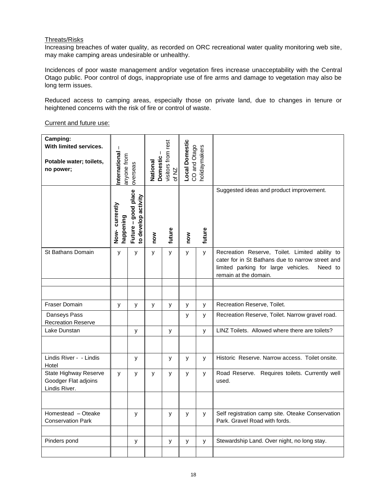#### Threats/Risks

Increasing breaches of water quality, as recorded on ORC recreational water quality monitoring web site, may make camping areas undesirable or unhealthy.

Incidences of poor waste management and/or vegetation fires increase unacceptability with the Central Otago public. Poor control of dogs, inappropriate use of fire arms and damage to vegetation may also be long term issues.

Reduced access to camping areas, especially those on private land, due to changes in tenure or heightened concerns with the risk of fire or control of waste.

Current and future use:

| Camping:<br>With limited services.<br>Potable water; toilets,<br>no power; | J.<br>International<br>anyone from | overseas                                   | visitors from rest<br><b>Domestic</b><br>National<br>of NZ |   | Local Domestic<br>CO and Otago<br>holidaymakers |        |                                                                                                                                                                               |  |
|----------------------------------------------------------------------------|------------------------------------|--------------------------------------------|------------------------------------------------------------|---|-------------------------------------------------|--------|-------------------------------------------------------------------------------------------------------------------------------------------------------------------------------|--|
|                                                                            | Now-currently<br>happening         | Future - good place<br>to develop activity | future<br>now                                              |   | now                                             | future | Suggested ideas and product improvement.                                                                                                                                      |  |
| <b>St Bathans Domain</b>                                                   | y                                  | y                                          | y                                                          | y | у                                               | y      | Recreation Reserve, Toilet. Limited ability to<br>cater for in St Bathans due to narrow street and<br>limited parking for large vehicles.<br>Need to<br>remain at the domain. |  |
|                                                                            |                                    |                                            |                                                            |   |                                                 |        |                                                                                                                                                                               |  |
|                                                                            |                                    |                                            |                                                            |   |                                                 |        |                                                                                                                                                                               |  |
| <b>Fraser Domain</b>                                                       | y                                  | y                                          | y                                                          | y | У                                               | y      | Recreation Reserve, Toilet.                                                                                                                                                   |  |
| Danseys Pass<br><b>Recreation Reserve</b>                                  |                                    |                                            |                                                            |   | y                                               | У      | Recreation Reserve, Toilet. Narrow gravel road.                                                                                                                               |  |
| Lake Dunstan                                                               |                                    | y                                          |                                                            | У |                                                 | y      | LINZ Toilets. Allowed where there are toilets?                                                                                                                                |  |
|                                                                            |                                    |                                            |                                                            |   |                                                 |        |                                                                                                                                                                               |  |
| Lindis River - - Lindis<br>Hotel                                           |                                    | y                                          |                                                            | У | У                                               | y      | Historic Reserve, Narrow access. Toilet onsite.                                                                                                                               |  |
| <b>State Highway Reserve</b><br>Goodger Flat adjoins<br>Lindis River.      | У                                  | У                                          | У                                                          | y | У                                               | y      | Road Reserve. Requires toilets. Currently well<br>used.                                                                                                                       |  |
|                                                                            |                                    |                                            |                                                            |   |                                                 |        |                                                                                                                                                                               |  |
| Homestead - Oteake<br><b>Conservation Park</b>                             |                                    | y                                          |                                                            | У | У                                               | У      | Self registration camp site. Oteake Conservation<br>Park. Gravel Road with fords.                                                                                             |  |
|                                                                            |                                    |                                            |                                                            |   |                                                 |        |                                                                                                                                                                               |  |
| Pinders pond                                                               |                                    | У                                          |                                                            | У | У                                               | y      | Stewardship Land. Over night, no long stay.                                                                                                                                   |  |
|                                                                            |                                    |                                            |                                                            |   |                                                 |        |                                                                                                                                                                               |  |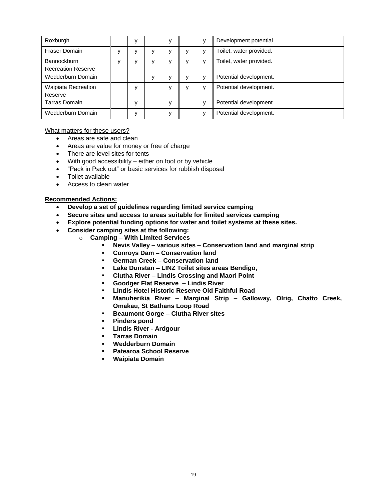| Roxburgh                                        |  | у |   | v            | Development potential.  |
|-------------------------------------------------|--|---|---|--------------|-------------------------|
| <b>Fraser Domain</b>                            |  |   |   | v            | Toilet, water provided. |
| <b>Bannockburn</b><br><b>Recreation Reserve</b> |  | v | v | v            | Toilet, water provided. |
| Wedderburn Domain                               |  | v | ν | $\mathsf{V}$ | Potential development.  |
| <b>Waipiata Recreation</b><br>Reserve           |  | ٧ | v | v            | Potential development.  |
| Tarras Domain                                   |  | v |   | $\mathbf{v}$ | Potential development.  |
| Wedderburn Domain                               |  | ۷ |   | $\mathbf{v}$ | Potential development.  |

#### What matters for these users?

- Areas are safe and clean
- Areas are value for money or free of charge
- There are level sites for tents
- With good accessibility either on foot or by vehicle
- "Pack in Pack out" or basic services for rubbish disposal
- Toilet available
- Access to clean water

#### **Recommended Actions:**

- **Develop a set of guidelines regarding limited service camping**
- **Secure sites and access to areas suitable for limited services camping**
- **Explore potential funding options for water and toilet systems at these sites.**
- **Consider camping sites at the following:**
	- o **Camping – With Limited Services** 
		- **Nevis Valley – various sites – Conservation land and marginal strip**
		- **Conroys Dam – Conservation land**
		- **German Creek – Conservation land**
		- **Lake Dunstan – LINZ Toilet sites areas Bendigo,**
		- **Clutha River – Lindis Crossing and Maori Point**
		- **Goodger Flat Reserve – Lindis River**
		- **Lindis Hotel Historic Reserve Old Faithful Road**
		- **Manuherikia River – Marginal Strip – Galloway, Olrig, Chatto Creek, Omakau, St Bathans Loop Road**
		- **Beaumont Gorge – Clutha River sites**
		- **Pinders pond**
		- **Lindis River - Ardgour**
		- **Tarras Domain**
		- **Wedderburn Domain**
		- **Patearoa School Reserve**
		- **Waipiata Domain**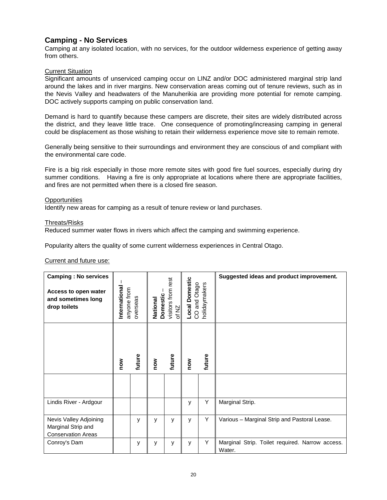### **Camping - No Services**

Camping at any isolated location, with no services, for the outdoor wilderness experience of getting away from others.

#### Current Situation

Significant amounts of unserviced camping occur on LINZ and/or DOC administered marginal strip land around the lakes and in river margins. New conservation areas coming out of tenure reviews, such as in the Nevis Valley and headwaters of the Manuherikia are providing more potential for remote camping. DOC actively supports camping on public conservation land.

Demand is hard to quantify because these campers are discrete, their sites are widely distributed across the district, and they leave little trace. One consequence of promoting/increasing camping in general could be displacement as those wishing to retain their wilderness experience move site to remain remote.

Generally being sensitive to their surroundings and environment they are conscious of and compliant with the environmental care code.

Fire is a big risk especially in those more remote sites with good fire fuel sources, especially during dry summer conditions. Having a fire is only appropriate at locations where there are appropriate facilities, and fires are not permitted when there is a closed fire season.

#### **Opportunities**

Identify new areas for camping as a result of tenure review or land purchases.

#### Threats/Risks

Reduced summer water flows in rivers which affect the camping and swimming experience.

Popularity alters the quality of some current wilderness experiences in Central Otago.

#### Current and future use:

| <b>Camping: No services</b><br>Access to open water<br>and sometimes long<br>drop toilets | International<br>anyone from | overseas | National | visitors from rest<br><b>Domestic</b><br>of NZ |     | and Otago<br>nolidaymakers<br>S | Suggested ideas and product improvement.                  |
|-------------------------------------------------------------------------------------------|------------------------------|----------|----------|------------------------------------------------|-----|---------------------------------|-----------------------------------------------------------|
|                                                                                           | now                          | future   | now      | future                                         | now | future                          |                                                           |
|                                                                                           |                              |          |          |                                                |     |                                 |                                                           |
| Lindis River - Ardgour                                                                    |                              |          |          |                                                | y   | Υ                               | Marginal Strip.                                           |
| Nevis Valley Adjoining<br>Marginal Strip and<br><b>Conservation Areas</b>                 |                              | y        | y        | у                                              | у   | Υ                               | Various - Marginal Strip and Pastoral Lease.              |
| Conroy's Dam                                                                              |                              | y        | y        | У                                              | у   | Υ                               | Marginal Strip. Toilet required. Narrow access.<br>Water. |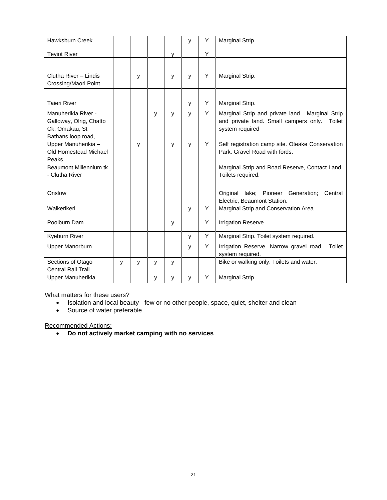| Hawksburn Creek                                                                        |              |   |   |   | у | Y | Marginal Strip.                                                                                                       |
|----------------------------------------------------------------------------------------|--------------|---|---|---|---|---|-----------------------------------------------------------------------------------------------------------------------|
| <b>Teviot River</b>                                                                    |              |   |   | v |   | Υ |                                                                                                                       |
|                                                                                        |              |   |   |   |   |   |                                                                                                                       |
| Clutha River - Lindis<br>Crossing/Maori Point                                          |              | y |   | У | y | Y | Marginal Strip.                                                                                                       |
|                                                                                        |              |   |   |   |   |   |                                                                                                                       |
| <b>Taieri River</b>                                                                    |              |   |   |   | y | Y | Marginal Strip.                                                                                                       |
| Manuherikia River -<br>Galloway, Olrig, Chatto<br>Ck, Omakau, St<br>Bathans loop road, |              |   | y | у | y | Y | Marginal Strip and private land. Marginal Strip<br>and private land. Small campers only.<br>Toilet<br>system required |
| Upper Manuherikia -<br>Old Homestead Michael<br>Peaks                                  |              | y |   | у | y | Y | Self registration camp site. Oteake Conservation<br>Park. Gravel Road with fords.                                     |
| Beaumont Millennium tk<br>- Clutha River                                               |              |   |   |   |   |   | Marginal Strip and Road Reserve, Contact Land.<br>Toilets required.                                                   |
| Onslow                                                                                 |              |   |   |   |   |   | Pioneer<br>Original<br>lake;<br>Generation;<br>Central<br>Electric; Beaumont Station.                                 |
| Waikerikeri                                                                            |              |   |   |   | y | Y | Marginal Strip and Conservation Area.                                                                                 |
| Poolburn Dam                                                                           |              |   |   | у |   | Y | Irrigation Reserve.                                                                                                   |
| Kyeburn River                                                                          |              |   |   |   | y | Y | Marginal Strip. Toilet system required.                                                                               |
| Upper Manorburn                                                                        |              |   |   |   | y | Y | Irrigation Reserve. Narrow gravel road.<br>Toilet<br>system required.                                                 |
| Sections of Otago<br><b>Central Rail Trail</b>                                         | $\mathsf{v}$ | y | y | У |   |   | Bike or walking only. Toilets and water.                                                                              |
| Upper Manuherikia                                                                      |              |   | у | у | y | Υ | Marginal Strip.                                                                                                       |

What matters for these users?

• Isolation and local beauty - few or no other people, space, quiet, shelter and clean

• Source of water preferable

Recommended Actions:

**Do not actively market camping with no services**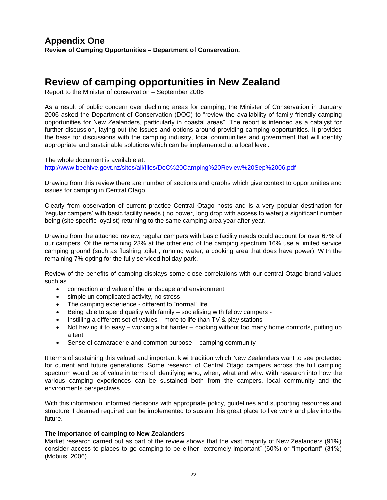## **Appendix One Review of Camping Opportunities – Department of Conservation.**

# **Review of camping opportunities in New Zealand**

Report to the Minister of conservation – September 2006

As a result of public concern over declining areas for camping, the Minister of Conservation in January 2006 asked the Department of Conservation (DOC) to "review the availability of family-friendly camping opportunities for New Zealanders, particularly in coastal areas". The report is intended as a catalyst for further discussion, laying out the issues and options around providing camping opportunities. It provides the basis for discussions with the camping industry, local communities and government that will identify appropriate and sustainable solutions which can be implemented at a local level.

The whole document is available at: <http://www.beehive.govt.nz/sites/all/files/DoC%20Camping%20Review%20Sep%2006.pdf>

Drawing from this review there are number of sections and graphs which give context to opportunities and issues for camping in Central Otago.

Clearly from observation of current practice Central Otago hosts and is a very popular destination for "regular campers" with basic facility needs ( no power, long drop with access to water) a significant number being (site specific loyalist) returning to the same camping area year after year.

Drawing from the attached review, regular campers with basic facility needs could account for over 67% of our campers. Of the remaining 23% at the other end of the camping spectrum 16% use a limited service camping ground (such as flushing toilet , running water, a cooking area that does have power). With the remaining 7% opting for the fully serviced holiday park.

Review of the benefits of camping displays some close correlations with our central Otago brand values such as

- connection and value of the landscape and environment
- simple un complicated activity, no stress
- The camping experience different to "normal" life
- Being able to spend quality with family socialising with fellow campers -
- Instilling a different set of values more to life than TV & play stations
- Not having it to easy working a bit harder cooking without too many home comforts, putting up a tent
- Sense of camaraderie and common purpose camping community

It terms of sustaining this valued and important kiwi tradition which New Zealanders want to see protected for current and future generations. Some research of Central Otago campers across the full camping spectrum would be of value in terms of identifying who, when, what and why. With research into how the various camping experiences can be sustained both from the campers, local community and the environments perspectives.

With this information, informed decisions with appropriate policy, guidelines and supporting resources and structure if deemed required can be implemented to sustain this great place to live work and play into the future.

#### **The importance of camping to New Zealanders**

Market research carried out as part of the review shows that the vast majority of New Zealanders (91%) consider access to places to go camping to be either "extremely important" (60%) or "important" (31%) (Mobius, 2006).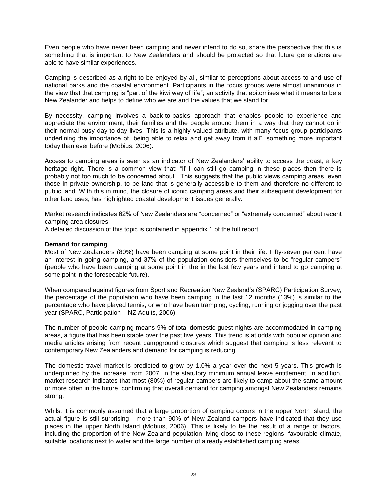Even people who have never been camping and never intend to do so, share the perspective that this is something that is important to New Zealanders and should be protected so that future generations are able to have similar experiences.

Camping is described as a right to be enjoyed by all, similar to perceptions about access to and use of national parks and the coastal environment. Participants in the focus groups were almost unanimous in the view that that camping is "part of the kiwi way of life"; an activity that epitomises what it means to be a New Zealander and helps to define who we are and the values that we stand for.

By necessity, camping involves a back-to-basics approach that enables people to experience and appreciate the environment, their families and the people around them in a way that they cannot do in their normal busy day-to-day lives. This is a highly valued attribute, with many focus group participants underlining the importance of "being able to relax and get away from it all", something more important today than ever before (Mobius, 2006).

Access to camping areas is seen as an indicator of New Zealanders" ability to access the coast, a key heritage right. There is a common view that: "If I can still go camping in these places then there is probably not too much to be concerned about". This suggests that the public views camping areas, even those in private ownership, to be land that is generally accessible to them and therefore no different to public land. With this in mind, the closure of iconic camping areas and their subsequent development for other land uses, has highlighted coastal development issues generally.

Market research indicates 62% of New Zealanders are "concerned" or "extremely concerned" about recent camping area closures.

A detailed discussion of this topic is contained in appendix 1 of the full report.

#### **Demand for camping**

Most of New Zealanders (80%) have been camping at some point in their life. Fifty-seven per cent have an interest in going camping, and 37% of the population considers themselves to be "regular campers" (people who have been camping at some point in the in the last few years and intend to go camping at some point in the foreseeable future).

When compared against figures from Sport and Recreation New Zealand"s (SPARC) Participation Survey, the percentage of the population who have been camping in the last 12 months (13%) is similar to the percentage who have played tennis, or who have been tramping, cycling, running or jogging over the past year (SPARC, Participation – NZ Adults, 2006).

The number of people camping means 9% of total domestic guest nights are accommodated in camping areas, a figure that has been stable over the past five years. This trend is at odds with popular opinion and media articles arising from recent campground closures which suggest that camping is less relevant to contemporary New Zealanders and demand for camping is reducing.

The domestic travel market is predicted to grow by 1.0% a year over the next 5 years. This growth is underpinned by the increase, from 2007, in the statutory minimum annual leave entitlement. In addition, market research indicates that most (80%) of regular campers are likely to camp about the same amount or more often in the future, confirming that overall demand for camping amongst New Zealanders remains strong.

Whilst it is commonly assumed that a large proportion of camping occurs in the upper North Island, the actual figure is still surprising - more than 90% of New Zealand campers have indicated that they use places in the upper North Island (Mobius, 2006). This is likely to be the result of a range of factors, including the proportion of the New Zealand population living close to these regions, favourable climate, suitable locations next to water and the large number of already established camping areas.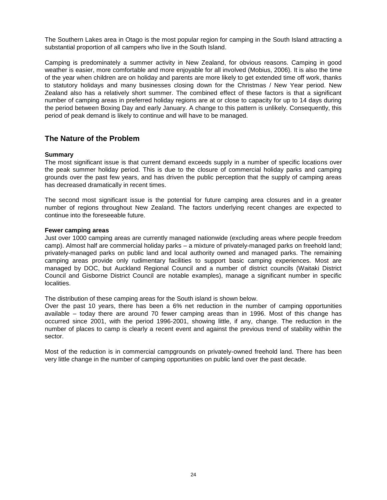The Southern Lakes area in Otago is the most popular region for camping in the South Island attracting a substantial proportion of all campers who live in the South Island.

Camping is predominately a summer activity in New Zealand, for obvious reasons. Camping in good weather is easier, more comfortable and more enjoyable for all involved (Mobius, 2006). It is also the time of the year when children are on holiday and parents are more likely to get extended time off work, thanks to statutory holidays and many businesses closing down for the Christmas / New Year period. New Zealand also has a relatively short summer. The combined effect of these factors is that a significant number of camping areas in preferred holiday regions are at or close to capacity for up to 14 days during the period between Boxing Day and early January. A change to this pattern is unlikely. Consequently, this period of peak demand is likely to continue and will have to be managed.

### **The Nature of the Problem**

#### **Summary**

The most significant issue is that current demand exceeds supply in a number of specific locations over the peak summer holiday period. This is due to the closure of commercial holiday parks and camping grounds over the past few years, and has driven the public perception that the supply of camping areas has decreased dramatically in recent times.

The second most significant issue is the potential for future camping area closures and in a greater number of regions throughout New Zealand. The factors underlying recent changes are expected to continue into the foreseeable future.

#### **Fewer camping areas**

Just over 1000 camping areas are currently managed nationwide (excluding areas where people freedom camp). Almost half are commercial holiday parks – a mixture of privately-managed parks on freehold land; privately-managed parks on public land and local authority owned and managed parks. The remaining camping areas provide only rudimentary facilities to support basic camping experiences. Most are managed by DOC, but Auckland Regional Council and a number of district councils (Waitaki District Council and Gisborne District Council are notable examples), manage a significant number in specific localities.

The distribution of these camping areas for the South island is shown below.

Over the past 10 years, there has been a 6% net reduction in the number of camping opportunities available – today there are around 70 fewer camping areas than in 1996. Most of this change has occurred since 2001, with the period 1996-2001, showing little, if any, change. The reduction in the number of places to camp is clearly a recent event and against the previous trend of stability within the sector.

Most of the reduction is in commercial campgrounds on privately-owned freehold land. There has been very little change in the number of camping opportunities on public land over the past decade.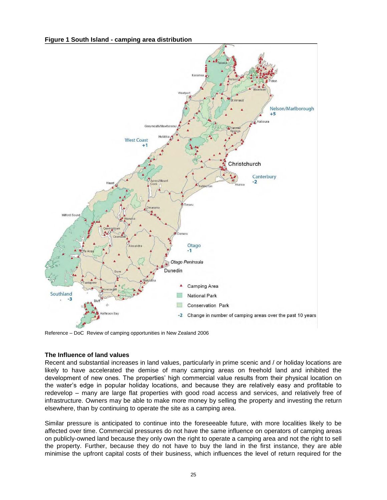**Figure 1 South Island - camping area distribution**



Reference – DoC Review of camping opportunities in New Zealand 2006

#### **The Influence of land values**

Recent and substantial increases in land values, particularly in prime scenic and / or holiday locations are likely to have accelerated the demise of many camping areas on freehold land and inhibited the development of new ones. The properties" high commercial value results from their physical location on the water"s edge in popular holiday locations, and because they are relatively easy and profitable to redevelop – many are large flat properties with good road access and services, and relatively free of infrastructure. Owners may be able to make more money by selling the property and investing the return elsewhere, than by continuing to operate the site as a camping area.

Similar pressure is anticipated to continue into the foreseeable future, with more localities likely to be affected over time. Commercial pressures do not have the same influence on operators of camping areas on publicly-owned land because they only own the right to operate a camping area and not the right to sell the property. Further, because they do not have to buy the land in the first instance, they are able minimise the upfront capital costs of their business, which influences the level of return required for the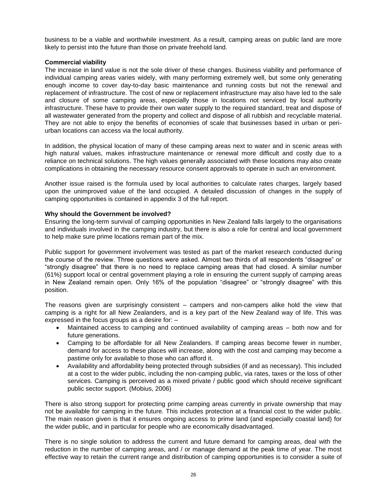business to be a viable and worthwhile investment. As a result, camping areas on public land are more likely to persist into the future than those on private freehold land.

#### **Commercial viability**

The increase in land value is not the sole driver of these changes. Business viability and performance of individual camping areas varies widely, with many performing extremely well, but some only generating enough income to cover day-to-day basic maintenance and running costs but not the renewal and replacement of infrastructure. The cost of new or replacement infrastructure may also have led to the sale and closure of some camping areas, especially those in locations not serviced by local authority infrastructure. These have to provide their own water supply to the required standard, treat and dispose of all wastewater generated from the property and collect and dispose of all rubbish and recyclable material. They are not able to enjoy the benefits of economies of scale that businesses based in urban or periurban locations can access via the local authority.

In addition, the physical location of many of these camping areas next to water and in scenic areas with high natural values, makes infrastructure maintenance or renewal more difficult and costly due to a reliance on technical solutions. The high values generally associated with these locations may also create complications in obtaining the necessary resource consent approvals to operate in such an environment.

Another issue raised is the formula used by local authorities to calculate rates charges, largely based upon the unimproved value of the land occupied. A detailed discussion of changes in the supply of camping opportunities is contained in appendix 3 of the full report.

#### **Why should the Government be involved?**

Ensuring the long-term survival of camping opportunities in New Zealand falls largely to the organisations and individuals involved in the camping industry, but there is also a role for central and local government to help make sure prime locations remain part of the mix.

Public support for government involvement was tested as part of the market research conducted during the course of the review. Three questions were asked. Almost two thirds of all respondents "disagree" or "strongly disagree" that there is no need to replace camping areas that had closed. A similar number (61%) support local or central government playing a role in ensuring the current supply of camping areas in New Zealand remain open. Only 16% of the population "disagree" or "strongly disagree" with this position.

The reasons given are surprisingly consistent – campers and non-campers alike hold the view that camping is a right for all New Zealanders, and is a key part of the New Zealand way of life. This was expressed in the focus groups as a desire for: –

- Maintained access to camping and continued availability of camping areas both now and for future generations.
- Camping to be affordable for all New Zealanders. If camping areas become fewer in number, demand for access to these places will increase, along with the cost and camping may become a pastime only for available to those who can afford it.
- Availability and affordability being protected through subsidies (if and as necessary). This included at a cost to the wider public, including the non-camping public, via rates, taxes or the loss of other services. Camping is perceived as a mixed private / public good which should receive significant public sector support. (Mobius, 2006)

There is also strong support for protecting prime camping areas currently in private ownership that may not be available for camping in the future. This includes protection at a financial cost to the wider public. The main reason given is that it ensures ongoing access to prime land (and especially coastal land) for the wider public, and in particular for people who are economically disadvantaged.

There is no single solution to address the current and future demand for camping areas, deal with the reduction in the number of camping areas, and / or manage demand at the peak time of year. The most effective way to retain the current range and distribution of camping opportunities is to consider a suite of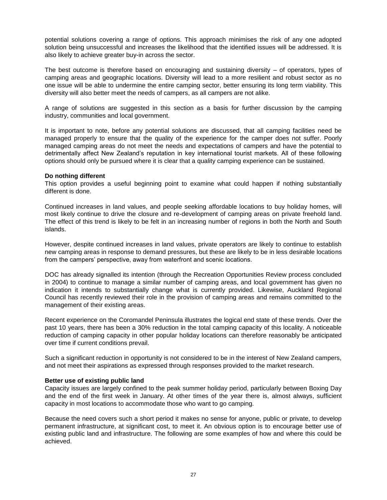potential solutions covering a range of options. This approach minimises the risk of any one adopted solution being unsuccessful and increases the likelihood that the identified issues will be addressed. It is also likely to achieve greater buy-in across the sector.

The best outcome is therefore based on encouraging and sustaining diversity – of operators, types of camping areas and geographic locations. Diversity will lead to a more resilient and robust sector as no one issue will be able to undermine the entire camping sector, better ensuring its long term viability. This diversity will also better meet the needs of campers, as all campers are not alike.

A range of solutions are suggested in this section as a basis for further discussion by the camping industry, communities and local government.

It is important to note, before any potential solutions are discussed, that all camping facilities need be managed properly to ensure that the quality of the experience for the camper does not suffer. Poorly managed camping areas do not meet the needs and expectations of campers and have the potential to detrimentally affect New Zealand"s reputation in key international tourist markets. All of these following options should only be pursued where it is clear that a quality camping experience can be sustained.

#### **Do nothing different**

This option provides a useful beginning point to examine what could happen if nothing substantially different is done.

Continued increases in land values, and people seeking affordable locations to buy holiday homes, will most likely continue to drive the closure and re-development of camping areas on private freehold land. The effect of this trend is likely to be felt in an increasing number of regions in both the North and South islands.

However, despite continued increases in land values, private operators are likely to continue to establish new camping areas in response to demand pressures, but these are likely to be in less desirable locations from the campers' perspective, away from waterfront and scenic locations.

DOC has already signalled its intention (through the Recreation Opportunities Review process concluded in 2004) to continue to manage a similar number of camping areas, and local government has given no indication it intends to substantially change what is currently provided. Likewise, Auckland Regional Council has recently reviewed their role in the provision of camping areas and remains committed to the management of their existing areas.

Recent experience on the Coromandel Peninsula illustrates the logical end state of these trends. Over the past 10 years, there has been a 30% reduction in the total camping capacity of this locality. A noticeable reduction of camping capacity in other popular holiday locations can therefore reasonably be anticipated over time if current conditions prevail.

Such a significant reduction in opportunity is not considered to be in the interest of New Zealand campers, and not meet their aspirations as expressed through responses provided to the market research.

#### **Better use of existing public land**

Capacity issues are largely confined to the peak summer holiday period, particularly between Boxing Day and the end of the first week in January. At other times of the year there is, almost always, sufficient capacity in most locations to accommodate those who want to go camping.

Because the need covers such a short period it makes no sense for anyone, public or private, to develop permanent infrastructure, at significant cost, to meet it. An obvious option is to encourage better use of existing public land and infrastructure. The following are some examples of how and where this could be achieved.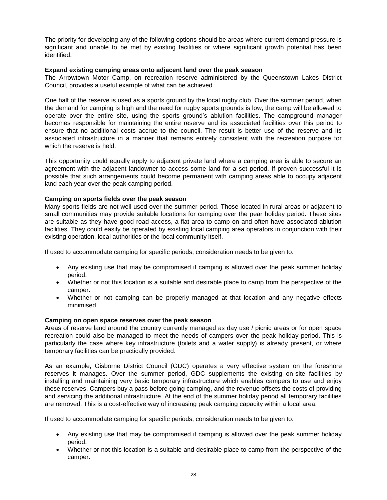The priority for developing any of the following options should be areas where current demand pressure is significant and unable to be met by existing facilities or where significant growth potential has been identified.

#### **Expand existing camping areas onto adjacent land over the peak season**

The Arrowtown Motor Camp, on recreation reserve administered by the Queenstown Lakes District Council, provides a useful example of what can be achieved.

One half of the reserve is used as a sports ground by the local rugby club. Over the summer period, when the demand for camping is high and the need for rugby sports grounds is low, the camp will be allowed to operate over the entire site, using the sports ground"s ablution facilities. The campground manager becomes responsible for maintaining the entire reserve and its associated facilities over this period to ensure that no additional costs accrue to the council. The result is better use of the reserve and its associated infrastructure in a manner that remains entirely consistent with the recreation purpose for which the reserve is held.

This opportunity could equally apply to adjacent private land where a camping area is able to secure an agreement with the adjacent landowner to access some land for a set period. If proven successful it is possible that such arrangements could become permanent with camping areas able to occupy adjacent land each year over the peak camping period.

#### **Camping on sports fields over the peak season**

Many sports fields are not well used over the summer period. Those located in rural areas or adjacent to small communities may provide suitable locations for camping over the pear holiday period. These sites are suitable as they have good road access, a flat area to camp on and often have associated ablution facilities. They could easily be operated by existing local camping area operators in conjunction with their existing operation, local authorities or the local community itself.

If used to accommodate camping for specific periods, consideration needs to be given to:

- Any existing use that may be compromised if camping is allowed over the peak summer holiday period.
- Whether or not this location is a suitable and desirable place to camp from the perspective of the camper.
- Whether or not camping can be properly managed at that location and any negative effects minimised.

#### **Camping on open space reserves over the peak season**

Areas of reserve land around the country currently managed as day use / picnic areas or for open space recreation could also be managed to meet the needs of campers over the peak holiday period. This is particularly the case where key infrastructure (toilets and a water supply) is already present, or where temporary facilities can be practically provided.

As an example, Gisborne District Council (GDC) operates a very effective system on the foreshore reserves it manages. Over the summer period, GDC supplements the existing on-site facilities by installing and maintaining very basic temporary infrastructure which enables campers to use and enjoy these reserves. Campers buy a pass before going camping, and the revenue offsets the costs of providing and servicing the additional infrastructure. At the end of the summer holiday period all temporary facilities are removed. This is a cost-effective way of increasing peak camping capacity within a local area.

If used to accommodate camping for specific periods, consideration needs to be given to:

- Any existing use that may be compromised if camping is allowed over the peak summer holiday period.
- Whether or not this location is a suitable and desirable place to camp from the perspective of the camper.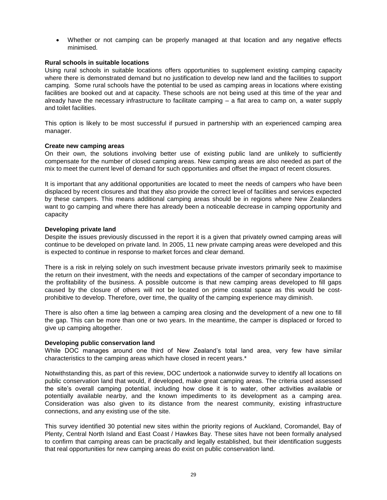Whether or not camping can be properly managed at that location and any negative effects minimised.

#### **Rural schools in suitable locations**

Using rural schools in suitable locations offers opportunities to supplement existing camping capacity where there is demonstrated demand but no justification to develop new land and the facilities to support camping. Some rural schools have the potential to be used as camping areas in locations where existing facilities are booked out and at capacity. These schools are not being used at this time of the year and already have the necessary infrastructure to facilitate camping – a flat area to camp on, a water supply and toilet facilities.

This option is likely to be most successful if pursued in partnership with an experienced camping area manager.

#### **Create new camping areas**

On their own, the solutions involving better use of existing public land are unlikely to sufficiently compensate for the number of closed camping areas. New camping areas are also needed as part of the mix to meet the current level of demand for such opportunities and offset the impact of recent closures.

It is important that any additional opportunities are located to meet the needs of campers who have been displaced by recent closures and that they also provide the correct level of facilities and services expected by these campers. This means additional camping areas should be in regions where New Zealanders want to go camping and where there has already been a noticeable decrease in camping opportunity and capacity

#### **Developing private land**

Despite the issues previously discussed in the report it is a given that privately owned camping areas will continue to be developed on private land. In 2005, 11 new private camping areas were developed and this is expected to continue in response to market forces and clear demand.

There is a risk in relying solely on such investment because private investors primarily seek to maximise the return on their investment, with the needs and expectations of the camper of secondary importance to the profitability of the business. A possible outcome is that new camping areas developed to fill gaps caused by the closure of others will not be located on prime coastal space as this would be costprohibitive to develop. Therefore, over time, the quality of the camping experience may diminish.

There is also often a time lag between a camping area closing and the development of a new one to fill the gap. This can be more than one or two years. In the meantime, the camper is displaced or forced to give up camping altogether.

#### **Developing public conservation land**

While DOC manages around one third of New Zealand"s total land area, very few have similar characteristics to the camping areas which have closed in recent years.\*

Notwithstanding this, as part of this review, DOC undertook a nationwide survey to identify all locations on public conservation land that would, if developed, make great camping areas. The criteria used assessed the site"s overall camping potential, including how close it is to water, other activities available or potentially available nearby, and the known impediments to its development as a camping area. Consideration was also given to its distance from the nearest community, existing infrastructure connections, and any existing use of the site.

This survey identified 30 potential new sites within the priority regions of Auckland, Coromandel, Bay of Plenty, Central North Island and East Coast / Hawkes Bay. These sites have not been formally analysed to confirm that camping areas can be practically and legally established, but their identification suggests that real opportunities for new camping areas do exist on public conservation land.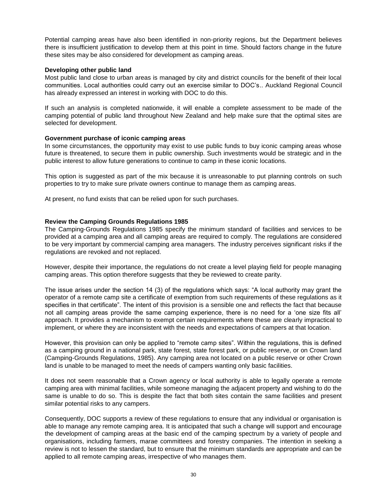Potential camping areas have also been identified in non-priority regions, but the Department believes there is insufficient justification to develop them at this point in time. Should factors change in the future these sites may be also considered for development as camping areas.

#### **Developing other public land**

Most public land close to urban areas is managed by city and district councils for the benefit of their local communities. Local authorities could carry out an exercise similar to DOC"s.. Auckland Regional Council has already expressed an interest in working with DOC to do this.

If such an analysis is completed nationwide, it will enable a complete assessment to be made of the camping potential of public land throughout New Zealand and help make sure that the optimal sites are selected for development.

#### **Government purchase of iconic camping areas**

In some circumstances, the opportunity may exist to use public funds to buy iconic camping areas whose future is threatened, to secure them in public ownership. Such investments would be strategic and in the public interest to allow future generations to continue to camp in these iconic locations.

This option is suggested as part of the mix because it is unreasonable to put planning controls on such properties to try to make sure private owners continue to manage them as camping areas.

At present, no fund exists that can be relied upon for such purchases.

#### **Review the Camping Grounds Regulations 1985**

The Camping-Grounds Regulations 1985 specify the minimum standard of facilities and services to be provided at a camping area and all camping areas are required to comply. The regulations are considered to be very important by commercial camping area managers. The industry perceives significant risks if the regulations are revoked and not replaced.

However, despite their importance, the regulations do not create a level playing field for people managing camping areas. This option therefore suggests that they be reviewed to create parity.

The issue arises under the section 14 (3) of the regulations which says: "A local authority may grant the operator of a remote camp site a certificate of exemption from such requirements of these regulations as it specifies in that certificate". The intent of this provision is a sensible one and reflects the fact that because not all camping areas provide the same camping experience, there is no need for a "one size fits all" approach. It provides a mechanism to exempt certain requirements where these are clearly impractical to implement, or where they are inconsistent with the needs and expectations of campers at that location.

However, this provision can only be applied to "remote camp sites". Within the regulations, this is defined as a camping ground in a national park, state forest, state forest park, or public reserve, or on Crown land (Camping-Grounds Regulations, 1985). Any camping area not located on a public reserve or other Crown land is unable to be managed to meet the needs of campers wanting only basic facilities.

It does not seem reasonable that a Crown agency or local authority is able to legally operate a remote camping area with minimal facilities, while someone managing the adjacent property and wishing to do the same is unable to do so. This is despite the fact that both sites contain the same facilities and present similar potential risks to any campers.

Consequently, DOC supports a review of these regulations to ensure that any individual or organisation is able to manage any remote camping area. It is anticipated that such a change will support and encourage the development of camping areas at the basic end of the camping spectrum by a variety of people and organisations, including farmers, marae committees and forestry companies. The intention in seeking a review is not to lessen the standard, but to ensure that the minimum standards are appropriate and can be applied to all remote camping areas, irrespective of who manages them.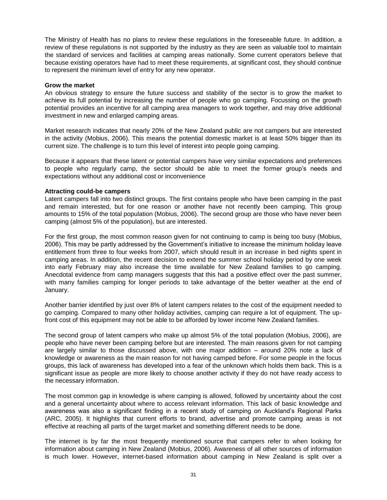The Ministry of Health has no plans to review these regulations in the foreseeable future. In addition, a review of these regulations is not supported by the industry as they are seen as valuable tool to maintain the standard of services and facilities at camping areas nationally. Some current operators believe that because existing operators have had to meet these requirements, at significant cost, they should continue to represent the minimum level of entry for any new operator.

#### **Grow the market**

An obvious strategy to ensure the future success and stability of the sector is to grow the market to achieve its full potential by increasing the number of people who go camping. Focussing on the growth potential provides an incentive for all camping area managers to work together, and may drive additional investment in new and enlarged camping areas.

Market research indicates that nearly 20% of the New Zealand public are not campers but are interested in the activity (Mobius, 2006). This means the potential domestic market is at least 50% bigger than its current size. The challenge is to turn this level of interest into people going camping.

Because it appears that these latent or potential campers have very similar expectations and preferences to people who regularly camp, the sector should be able to meet the former group"s needs and expectations without any additional cost or inconvenience

#### **Attracting could-be campers**

Latent campers fall into two distinct groups. The first contains people who have been camping in the past and remain interested, but for one reason or another have not recently been camping. This group amounts to 15% of the total population (Mobius, 2006). The second group are those who have never been camping (almost 5% of the population), but are interested.

For the first group, the most common reason given for not continuing to camp is being too busy (Mobius, 2006). This may be partly addressed by the Government"s initiative to increase the minimum holiday leave entitlement from three to four weeks from 2007, which should result in an increase in bed nights spent in camping areas. In addition, the recent decision to extend the summer school holiday period by one week into early February may also increase the time available for New Zealand families to go camping. Anecdotal evidence from camp managers suggests that this had a positive effect over the past summer, with many families camping for longer periods to take advantage of the better weather at the end of January.

Another barrier identified by just over 8% of latent campers relates to the cost of the equipment needed to go camping. Compared to many other holiday activities, camping can require a lot of equipment. The upfront cost of this equipment may not be able to be afforded by lower income New Zealand families.

The second group of latent campers who make up almost 5% of the total population (Mobius, 2006), are people who have never been camping before but are interested. The main reasons given for not camping are largely similar to those discussed above, with one major addition – around 20% note a lack of knowledge or awareness as the main reason for not having camped before. For some people in the focus groups, this lack of awareness has developed into a fear of the unknown which holds them back. This is a significant issue as people are more likely to choose another activity if they do not have ready access to the necessary information.

The most common gap in knowledge is where camping is allowed, followed by uncertainty about the cost and a general uncertainty about where to access relevant information. This lack of basic knowledge and awareness was also a significant finding in a recent study of camping on Auckland"s Regional Parks (ARC, 2005). It highlights that current efforts to brand, advertise and promote camping areas is not effective at reaching all parts of the target market and something different needs to be done.

The internet is by far the most frequently mentioned source that campers refer to when looking for information about camping in New Zealand (Mobius, 2006). Awareness of all other sources of information is much lower. However, internet-based information about camping in New Zealand is split over a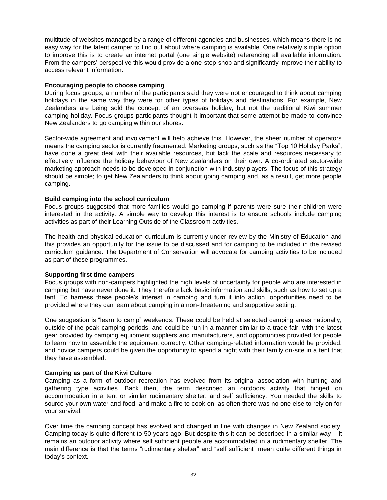multitude of websites managed by a range of different agencies and businesses, which means there is no easy way for the latent camper to find out about where camping is available. One relatively simple option to improve this is to create an internet portal (one single website) referencing all available information. From the campers" perspective this would provide a one-stop-shop and significantly improve their ability to access relevant information.

#### **Encouraging people to choose camping**

During focus groups, a number of the participants said they were not encouraged to think about camping holidays in the same way they were for other types of holidays and destinations. For example, New Zealanders are being sold the concept of an overseas holiday, but not the traditional Kiwi summer camping holiday. Focus groups participants thought it important that some attempt be made to convince New Zealanders to go camping within our shores.

Sector-wide agreement and involvement will help achieve this. However, the sheer number of operators means the camping sector is currently fragmented. Marketing groups, such as the "Top 10 Holiday Parks", have done a great deal with their available resources, but lack the scale and resources necessary to effectively influence the holiday behaviour of New Zealanders on their own. A co-ordinated sector-wide marketing approach needs to be developed in conjunction with industry players. The focus of this strategy should be simple; to get New Zealanders to think about going camping and, as a result, get more people camping.

#### **Build camping into the school curriculum**

Focus groups suggested that more families would go camping if parents were sure their children were interested in the activity. A simple way to develop this interest is to ensure schools include camping activities as part of their Learning Outside of the Classroom activities.

The health and physical education curriculum is currently under review by the Ministry of Education and this provides an opportunity for the issue to be discussed and for camping to be included in the revised curriculum guidance. The Department of Conservation will advocate for camping activities to be included as part of these programmes.

#### **Supporting first time campers**

Focus groups with non-campers highlighted the high levels of uncertainty for people who are interested in camping but have never done it. They therefore lack basic information and skills, such as how to set up a tent. To harness these people"s interest in camping and turn it into action, opportunities need to be provided where they can learn about camping in a non-threatening and supportive setting.

One suggestion is "learn to camp" weekends. These could be held at selected camping areas nationally, outside of the peak camping periods, and could be run in a manner similar to a trade fair, with the latest gear provided by camping equipment suppliers and manufacturers, and opportunities provided for people to learn how to assemble the equipment correctly. Other camping-related information would be provided, and novice campers could be given the opportunity to spend a night with their family on-site in a tent that they have assembled.

#### **Camping as part of the Kiwi Culture**

Camping as a form of outdoor recreation has evolved from its original association with hunting and gathering type activities. Back then, the term described an outdoors activity that hinged on accommodation in a tent or similar rudimentary shelter, and self sufficiency. You needed the skills to source your own water and food, and make a fire to cook on, as often there was no one else to rely on for your survival.

Over time the camping concept has evolved and changed in line with changes in New Zealand society. Camping today is quite different to 50 years ago. But despite this it can be described in a similar way – it remains an outdoor activity where self sufficient people are accommodated in a rudimentary shelter. The main difference is that the terms "rudimentary shelter" and "self sufficient" mean quite different things in today"s context.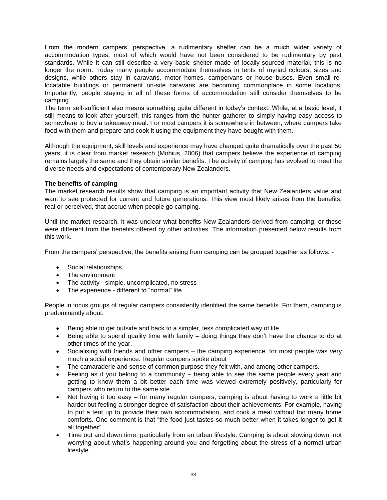From the modern campers" perspective, a rudimentary shelter can be a much wider variety of accommodation types, most of which would have not been considered to be rudimentary by past standards. While it can still describe a very basic shelter made of locally-sourced material, this is no longer the norm. Today many people accommodate themselves in tents of myriad colours, sizes and designs, while others stay in caravans, motor homes, campervans or house buses. Even small relocatable buildings or permanent on-site caravans are becoming commonplace in some locations. Importantly, people staying in all of these forms of accommodation still consider themselves to be camping.

The term self-sufficient also means something quite different in today"s context. While, at a basic level, it still means to look after yourself, this ranges from the hunter gatherer to simply having easy access to somewhere to buy a takeaway meal. For most campers it is somewhere in between, where campers take food with them and prepare and cook it using the equipment they have bought with them.

Although the equipment, skill levels and experience may have changed quite dramatically over the past 50 years, it is clear from market research (Mobius, 2006) that campers believe the experience of camping remains largely the same and they obtain similar benefits. The activity of camping has evolved to meet the diverse needs and expectations of contemporary New Zealanders.

#### **The benefits of camping**

The market research results show that camping is an important activity that New Zealanders value and want to see protected for current and future generations. This view most likely arises from the benefits, real or perceived, that accrue when people go camping.

Until the market research, it was unclear what benefits New Zealanders derived from camping, or these were different from the benefits offered by other activities. The information presented below results from this work.

From the campers" perspective, the benefits arising from camping can be grouped together as follows: -

- Social relationships
- The environment
- The activity simple, uncomplicated, no stress
- The experience different to "normal" life

People in focus groups of regular campers consistently identified the same benefits. For them, camping is predominantly about:

- Being able to get outside and back to a simpler, less complicated way of life.
- Being able to spend quality time with family doing things they don"t have the chance to do at other times of the year.
- Socialising with friends and other campers the camping experience, for most people was very much a social experience. Regular campers spoke about
- The camaraderie and sense of common purpose they felt with, and among other campers.
- Feeling as if you belong to a community being able to see the same people every year and getting to know them a bit better each time was viewed extremely positively, particularly for campers who return to the same site.
- Not having it too easy for many regular campers, camping is about having to work a little bit harder but feeling a stronger degree of satisfaction about their achievements. For example, having to put a tent up to provide their own accommodation, and cook a meal without too many home comforts. One comment is that "the food just tastes so much better when it takes longer to get it all together".
- Time out and down time, particularly from an urban lifestyle. Camping is about slowing down, not worrying about what"s happening around you and forgetting about the stress of a normal urban lifestyle.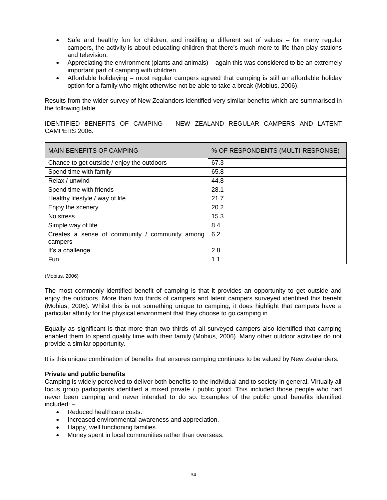- Safe and healthy fun for children, and instilling a different set of values for many regular campers, the activity is about educating children that there"s much more to life than play-stations and television.
- Appreciating the environment (plants and animals) again this was considered to be an extremely important part of camping with children.
- Affordable holidaying most regular campers agreed that camping is still an affordable holiday option for a family who might otherwise not be able to take a break (Mobius, 2006).

Results from the wider survey of New Zealanders identified very similar benefits which are summarised in the following table.

IDENTIFIED BENEFITS OF CAMPING – NEW ZEALAND REGULAR CAMPERS AND LATENT CAMPERS 2006.

| <b>MAIN BENEFITS OF CAMPING</b>                           | % OF RESPONDENTS (MULTI-RESPONSE) |
|-----------------------------------------------------------|-----------------------------------|
| Chance to get outside / enjoy the outdoors                | 67.3                              |
| Spend time with family                                    | 65.8                              |
| Relax / unwind                                            | 44.8                              |
| Spend time with friends                                   | 28.1                              |
| Healthy lifestyle / way of life                           | 21.7                              |
| Enjoy the scenery                                         | 20.2                              |
| No stress                                                 | 15.3                              |
| Simple way of life                                        | 8.4                               |
| Creates a sense of community / community among<br>campers | 6.2                               |
| It's a challenge                                          | 2.8                               |
| Fun                                                       | 1.1                               |

#### (Mobius, 2006)

The most commonly identified benefit of camping is that it provides an opportunity to get outside and enjoy the outdoors. More than two thirds of campers and latent campers surveyed identified this benefit (Mobius, 2006). Whilst this is not something unique to camping, it does highlight that campers have a particular affinity for the physical environment that they choose to go camping in.

Equally as significant is that more than two thirds of all surveyed campers also identified that camping enabled them to spend quality time with their family (Mobius, 2006). Many other outdoor activities do not provide a similar opportunity.

It is this unique combination of benefits that ensures camping continues to be valued by New Zealanders.

#### **Private and public benefits**

Camping is widely perceived to deliver both benefits to the individual and to society in general. Virtually all focus group participants identified a mixed private / public good. This included those people who had never been camping and never intended to do so. Examples of the public good benefits identified included: –

- Reduced healthcare costs.
- **Increased environmental awareness and appreciation.**
- Happy, well functioning families.
- Money spent in local communities rather than overseas.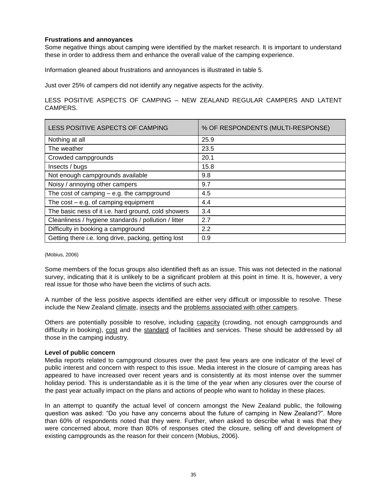#### **Frustrations and annoyances**

Some negative things about camping were identified by the market research. It is important to understand these in order to address them and enhance the overall value of the camping experience.

Information gleaned about frustrations and annoyances is illustrated in table 5.

Just over 25% of campers did not identify any negative aspects for the activity.

#### LESS POSITIVE ASPECTS OF CAMPING – NEW ZEALAND REGULAR CAMPERS AND LATENT CAMPERS.

| LESS POSITIVE ASPECTS OF CAMPING                     | % OF RESPONDENTS (MULTI-RESPONSE) |
|------------------------------------------------------|-----------------------------------|
| Nothing at all                                       | 25.9                              |
| The weather                                          | 23.5                              |
| Crowded campgrounds                                  | 20.1                              |
| Insects / bugs                                       | 15.8                              |
| Not enough campgrounds available                     | 9.8                               |
| Noisy / annoying other campers                       | 9.7                               |
| The cost of camping $-$ e.g. the campground          | 4.5                               |
| The $cost - e.g.$ of camping equipment               | 4.4                               |
| The basic ness of it i.e. hard ground, cold showers  | 3.4                               |
| Cleanliness / hygiene standards / pollution / litter | 2.7                               |
| Difficulty in booking a campground                   | 2.2                               |
| Getting there i.e. long drive, packing, getting lost | 0.9                               |

(Mobius, 2006)

Some members of the focus groups also identified theft as an issue. This was not detected in the national survey, indicating that it is unlikely to be a significant problem at this point in time. It is, however, a very real issue for those who have been the victims of such acts.

A number of the less positive aspects identified are either very difficult or impossible to resolve. These include the New Zealand climate, insects and the problems associated with other campers.

Others are potentially possible to resolve, including capacity (crowding, not enough campgrounds and difficulty in booking), cost and the standard of facilities and services. These should be addressed by all those in the camping industry.

#### **Level of public concern**

Media reports related to campground closures over the past few years are one indicator of the level of public interest and concern with respect to this issue. Media interest in the closure of camping areas has appeared to have increased over recent years and is consistently at its most intense over the summer holiday period. This is understandable as it is the time of the year when any closures over the course of the past year actually impact on the plans and actions of people who want to holiday in these places.

In an attempt to quantify the actual level of concern amongst the New Zealand public, the following question was asked: "Do you have any concerns about the future of camping in New Zealand?". More than 60% of respondents noted that they were. Further, when asked to describe what it was that they were concerned about, more than 80% of responses cited the closure, selling off and development of existing campgrounds as the reason for their concern (Mobius, 2006).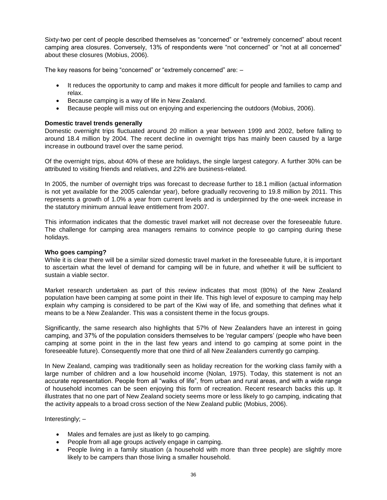Sixty-two per cent of people described themselves as "concerned" or "extremely concerned" about recent camping area closures. Conversely, 13% of respondents were "not concerned" or "not at all concerned" about these closures (Mobius, 2006).

The key reasons for being "concerned" or "extremely concerned" are: –

- It reduces the opportunity to camp and makes it more difficult for people and families to camp and relax.
- Because camping is a way of life in New Zealand.
- Because people will miss out on enjoying and experiencing the outdoors (Mobius, 2006).

#### **Domestic travel trends generally**

Domestic overnight trips fluctuated around 20 million a year between 1999 and 2002, before falling to around 18.4 million by 2004. The recent decline in overnight trips has mainly been caused by a large increase in outbound travel over the same period.

Of the overnight trips, about 40% of these are holidays, the single largest category. A further 30% can be attributed to visiting friends and relatives, and 22% are business-related.

In 2005, the number of overnight trips was forecast to decrease further to 18.1 million (actual information is not yet available for the 2005 calendar year), before gradually recovering to 19.8 million by 2011. This represents a growth of 1.0% a year from current levels and is underpinned by the one-week increase in the statutory minimum annual leave entitlement from 2007.

This information indicates that the domestic travel market will not decrease over the foreseeable future. The challenge for camping area managers remains to convince people to go camping during these holidays.

#### **Who goes camping?**

While it is clear there will be a similar sized domestic travel market in the foreseeable future, it is important to ascertain what the level of demand for camping will be in future, and whether it will be sufficient to sustain a viable sector.

Market research undertaken as part of this review indicates that most (80%) of the New Zealand population have been camping at some point in their life. This high level of exposure to camping may help explain why camping is considered to be part of the Kiwi way of life, and something that defines what it means to be a New Zealander. This was a consistent theme in the focus groups.

Significantly, the same research also highlights that 57% of New Zealanders have an interest in going camping, and 37% of the population considers themselves to be "regular campers" (people who have been camping at some point in the in the last few years and intend to go camping at some point in the foreseeable future). Consequently more that one third of all New Zealanders currently go camping.

In New Zealand, camping was traditionally seen as holiday recreation for the working class family with a large number of children and a low household income (Nolan, 1975). Today, this statement is not an accurate representation. People from all "walks of life", from urban and rural areas, and with a wide range of household incomes can be seen enjoying this form of recreation. Recent research backs this up. It illustrates that no one part of New Zealand society seems more or less likely to go camping, indicating that the activity appeals to a broad cross section of the New Zealand public (Mobius, 2006).

Interestingly; –

- Males and females are just as likely to go camping.
- People from all age groups actively engage in camping.
- People living in a family situation (a household with more than three people) are slightly more likely to be campers than those living a smaller household.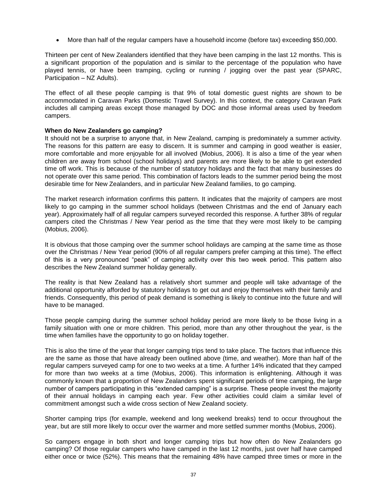More than half of the regular campers have a household income (before tax) exceeding \$50,000.

Thirteen per cent of New Zealanders identified that they have been camping in the last 12 months. This is a significant proportion of the population and is similar to the percentage of the population who have played tennis, or have been tramping, cycling or running / jogging over the past year (SPARC, Participation – NZ Adults).

The effect of all these people camping is that 9% of total domestic guest nights are shown to be accommodated in Caravan Parks (Domestic Travel Survey). In this context, the category Caravan Park includes all camping areas except those managed by DOC and those informal areas used by freedom campers.

#### **When do New Zealanders go camping?**

It should not be a surprise to anyone that, in New Zealand, camping is predominately a summer activity. The reasons for this pattern are easy to discern. It is summer and camping in good weather is easier, more comfortable and more enjoyable for all involved (Mobius, 2006). It is also a time of the year when children are away from school (school holidays) and parents are more likely to be able to get extended time off work. This is because of the number of statutory holidays and the fact that many businesses do not operate over this same period. This combination of factors leads to the summer period being the most desirable time for New Zealanders, and in particular New Zealand families, to go camping.

The market research information confirms this pattern. It indicates that the majority of campers are most likely to go camping in the summer school holidays (between Christmas and the end of January each year). Approximately half of all regular campers surveyed recorded this response. A further 38% of regular campers cited the Christmas / New Year period as the time that they were most likely to be camping (Mobius, 2006).

It is obvious that those camping over the summer school holidays are camping at the same time as those over the Christmas / New Year period (90% of all regular campers prefer camping at this time). The effect of this is a very pronounced "peak" of camping activity over this two week period. This pattern also describes the New Zealand summer holiday generally.

The reality is that New Zealand has a relatively short summer and people will take advantage of the additional opportunity afforded by statutory holidays to get out and enjoy themselves with their family and friends. Consequently, this period of peak demand is something is likely to continue into the future and will have to be managed.

Those people camping during the summer school holiday period are more likely to be those living in a family situation with one or more children. This period, more than any other throughout the year, is the time when families have the opportunity to go on holiday together.

This is also the time of the year that longer camping trips tend to take place. The factors that influence this are the same as those that have already been outlined above (time, and weather). More than half of the regular campers surveyed camp for one to two weeks at a time. A further 14% indicated that they camped for more than two weeks at a time (Mobius, 2006). This information is enlightening. Although it was commonly known that a proportion of New Zealanders spent significant periods of time camping, the large number of campers participating in this "extended camping" is a surprise. These people invest the majority of their annual holidays in camping each year. Few other activities could claim a similar level of commitment amongst such a wide cross section of New Zealand society.

Shorter camping trips (for example, weekend and long weekend breaks) tend to occur throughout the year, but are still more likely to occur over the warmer and more settled summer months (Mobius, 2006).

So campers engage in both short and longer camping trips but how often do New Zealanders go camping? Of those regular campers who have camped in the last 12 months, just over half have camped either once or twice (52%). This means that the remaining 48% have camped three times or more in the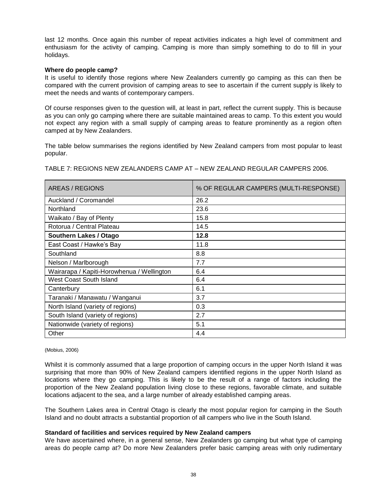last 12 months. Once again this number of repeat activities indicates a high level of commitment and enthusiasm for the activity of camping. Camping is more than simply something to do to fill in your holidays.

#### **Where do people camp?**

It is useful to identify those regions where New Zealanders currently go camping as this can then be compared with the current provision of camping areas to see to ascertain if the current supply is likely to meet the needs and wants of contemporary campers.

Of course responses given to the question will, at least in part, reflect the current supply. This is because as you can only go camping where there are suitable maintained areas to camp. To this extent you would not expect any region with a small supply of camping areas to feature prominently as a region often camped at by New Zealanders.

The table below summarises the regions identified by New Zealand campers from most popular to least popular.

TABLE 7: REGIONS NEW ZEALANDERS CAMP AT – NEW ZEALAND REGULAR CAMPERS 2006.

| AREAS / REGIONS                            | % OF REGULAR CAMPERS (MULTI-RESPONSE) |
|--------------------------------------------|---------------------------------------|
| Auckland / Coromandel                      | 26.2                                  |
| Northland                                  | 23.6                                  |
| Waikato / Bay of Plenty                    | 15.8                                  |
| Rotorua / Central Plateau                  | 14.5                                  |
| <b>Southern Lakes / Otago</b>              | 12.8                                  |
| East Coast / Hawke's Bay                   | 11.8                                  |
| Southland                                  | 8.8                                   |
| Nelson / Marlborough                       | 7.7                                   |
| Wairarapa / Kapiti-Horowhenua / Wellington | 6.4                                   |
| West Coast South Island                    | 6.4                                   |
| Canterbury                                 | 6.1                                   |
| Taranaki / Manawatu / Wanganui             | 3.7                                   |
| North Island (variety of regions)          | 0.3                                   |
| South Island (variety of regions)          | 2.7                                   |
| Nationwide (variety of regions)            | 5.1                                   |
| Other                                      | 4.4                                   |

#### (Mobius, 2006)

Whilst it is commonly assumed that a large proportion of camping occurs in the upper North Island it was surprising that more than 90% of New Zealand campers identified regions in the upper North Island as locations where they go camping. This is likely to be the result of a range of factors including the proportion of the New Zealand population living close to these regions, favorable climate, and suitable locations adjacent to the sea, and a large number of already established camping areas.

The Southern Lakes area in Central Otago is clearly the most popular region for camping in the South Island and no doubt attracts a substantial proportion of all campers who live in the South Island.

#### **Standard of facilities and services required by New Zealand campers**

We have ascertained where, in a general sense, New Zealanders go camping but what type of camping areas do people camp at? Do more New Zealanders prefer basic camping areas with only rudimentary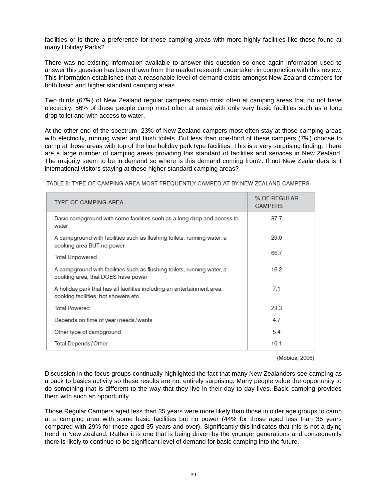facilities or is there a preference for those camping areas with more highly facilities like those found at many Holiday Parks?

There was no existing information available to answer this question so once again information used to answer this question has been drawn from the market research undertaken in conjunction with this review. This information establishes that a reasonable level of demand exists amongst New Zealand campers for both basic and higher standard camping areas.

Two thirds (67%) of New Zealand regular campers camp most often at camping areas that do not have electricity. 56% of these people camp most often at areas with only very basic facilities such as a long drop toilet and with access to water.

At the other end of the spectrum, 23% of New Zealand campers most often stay at those camping areas with electricity, running water and flush toilets. But less than one-third of these campers (7%) choose to camp at those areas with top of the line holiday park type facilities. This is a very surprising finding. There are a large number of camping areas providing this standard of facilities and services in New Zealand. The majority seem to be in demand so where is this demand coming from?. If not New Zealanders is it international visitors staying at these higher standard camping areas?

| TYPE OF CAMPING AREA                                                                                            | % OF REGULAR<br>CAMPERS |
|-----------------------------------------------------------------------------------------------------------------|-------------------------|
| Basic campground with some facilities such as a long drop and access to<br>water                                | 37.7                    |
| A campground with facilities such as flushing toilets, running water, a<br>cooking area BUT no power            | 29.0                    |
| Total Unpowered                                                                                                 | 66.7                    |
| A campground with facilities such as flushing toilets, running water, a<br>cooking area, that DOES have power   | 16.2                    |
| A holiday park that has all facilities including an entertainment area,<br>cooking facilities, hot showers etc. | 7.1                     |
| <b>Total Powered</b>                                                                                            | 23.3                    |
| Depends on time of year/needs/wants                                                                             | 4.7                     |
| Other type of campground                                                                                        | 5.4                     |
| Total Depends/Other                                                                                             | 10.1                    |

TABLE 8: TYPE OF CAMPING AREA MOST FREQUENTLY CAMPED AT BY NEW ZEALAND CAMPERS

(Mobius, 2006)

Discussion in the focus groups continually highlighted the fact that many New Zealanders see camping as a back to basics activity so these results are not entirely surprising. Many people value the opportunity to do something that is different to the way that they live in their day to day lives. Basic camping provides them with such an opportunity.

Those Regular Campers aged less than 35 years were more likely than those in older age groups to camp at a camping area with some basic facilities but no power (44% for those aged less than 35 years compared with 29% for those aged 35 years and over). Significantly this indicates that this is not a dying trend in New Zealand. Rather it is one that is being driven by the younger generations and consequently there is likely to continue to be significant level of demand for basic camping into the future.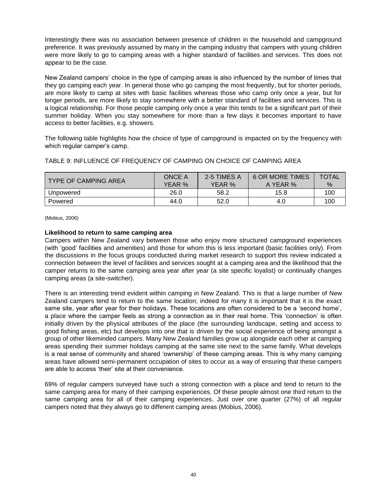Interestingly there was no association between presence of children in the household and campground preference. It was previously assumed by many in the camping industry that campers with young children were more likely to go to camping areas with a higher standard of facilities and services. This does not appear to be the case.

New Zealand campers" choice in the type of camping areas is also influenced by the number of times that they go camping each year. In general those who go camping the most frequently, but for shorter periods, are more likely to camp at sites with basic facilities whereas those who camp only once a year, but for longer periods, are more likely to stay somewhere with a better standard of facilities and services. This is a logical relationship. For those people camping only once a year this tends to be a significant part of their summer holiday. When you stay somewhere for more than a few days it becomes important to have access to better facilities, e.g. showers.

The following table highlights how the choice of type of campground is impacted on by the frequency with which regular camper's camp.

| <b>TYPE OF CAMPING AREA</b> | <b>ONCE A</b><br>YEAR % | 2-5 TIMES A<br>YEAR % | <b>6 OR MORE TIMES</b><br>A YEAR % | <b>TOTAL</b><br>$\%$ |
|-----------------------------|-------------------------|-----------------------|------------------------------------|----------------------|
| Unpowered                   | 26.0                    | 58.2                  | 15.8                               | 100                  |
| Powered                     | 44.0                    | 52.0                  | 4.0                                | 100                  |

#### TABLE 9: INFLUENCE OF FREQUENCY OF CAMPING ON CHOICE OF CAMPING AREA

(Mobius, 2006)

#### **Likelihood to return to same camping area**

Campers within New Zealand vary between those who enjoy more structured campground experiences (with "good" facilities and amenities) and those for whom this is less important (basic facilities only). From the discussions in the focus groups conducted during market research to support this review indicated a connection between the level of facilities and services sought at a camping area and the likelihood that the camper returns to the same camping area year after year (a site specific loyalist) or continually changes camping areas (a site-switcher).

There is an interesting trend evident within camping in New Zealand. This is that a large number of New Zealand campers tend to return to the same location; indeed for many it is important that it is the exact same site, year after year for their holidays. These locations are often considered to be a "second home", a place where the camper feels as strong a connection as in their real home. This "connection" is often initially driven by the physical attributes of the place (the surrounding landscape, setting and access to good fishing areas, etc) but develops into one that is driven by the social experience of being amongst a group of other likeminded campers. Many New Zealand families grow up alongside each other at camping areas spending their summer holidays camping at the same site next to the same family. What develops is a real sense of community and shared 'ownership' of these camping areas. This is why many camping areas have allowed semi-permanent occupation of sites to occur as a way of ensuring that these campers are able to access "their" site at their convenience.

69% of regular campers surveyed have such a strong connection with a place and tend to return to the same camping area for many of their camping experiences. Of these people almost one third return to the same camping area for all of their camping experiences. Just over one quarter (27%) of all regular campers noted that they always go to different camping areas (Mobius, 2006).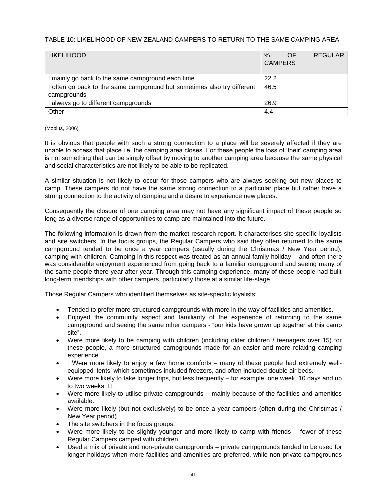### TABLE 10: LIKELIHOOD OF NEW ZEALAND CAMPERS TO RETURN TO THE SAME CAMPING AREA

| <b>LIKELIHOOD</b>                                                       | $\%$           | OF | <b>REGULAR</b> |
|-------------------------------------------------------------------------|----------------|----|----------------|
|                                                                         | <b>CAMPERS</b> |    |                |
|                                                                         |                |    |                |
| I mainly go back to the same campground each time                       | 22.2           |    |                |
| I often go back to the same campground but sometimes also try different | 46.5           |    |                |
| campgrounds                                                             |                |    |                |
| I always go to different campgrounds                                    | 26.9           |    |                |
| Other                                                                   | 4.4            |    |                |

#### (Mobius, 2006)

It is obvious that people with such a strong connection to a place will be severely affected if they are unable to access that place i.e. the camping area closes. For these people the loss of "their" camping area is not something that can be simply offset by moving to another camping area because the same physical and social characteristics are not likely to be able to be replicated.

A similar situation is not likely to occur for those campers who are always seeking out new places to camp. These campers do not have the same strong connection to a particular place but rather have a strong connection to the activity of camping and a desire to experience new places.

Consequently the closure of one camping area may not have any significant impact of these people so long as a diverse range of opportunities to camp are maintained into the future.

The following information is drawn from the market research report. It characterises site specific loyalists and site switchers. In the focus groups, the Regular Campers who said they often returned to the same campground tended to be once a year campers (usually during the Christmas / New Year period), camping with children. Camping in this respect was treated as an annual family holiday – and often there was considerable enjoyment experienced from going back to a familiar campground and seeing many of the same people there year after year. Through this camping experience, many of these people had built long-term friendships with other campers, particularly those at a similar life-stage.

Those Regular Campers who identified themselves as site-specific loyalists:

- Tended to prefer more structured campgrounds with more in the way of facilities and amenities.
- Enjoyed the community aspect and familiarity of the experience of returning to the same campground and seeing the same other campers - "our kids have grown up together at this camp site".
- Were more likely to be camping with children (including older children / teenagers over 15) for these people, a more structured campgrounds made for an easier and more relaxing camping experience.
- $\bullet$   $\Box$  Were more likely to enjoy a few home comforts many of these people had extremely wellequipped "tents" which sometimes included freezers, and often included double air beds.
- Were more likely to take longer trips, but less frequently for example, one week, 10 days and up to two weeks. □
- Were more likely to utilise private campgrounds mainly because of the facilities and amenities available.
- Were more likely (but not exclusively) to be once a year campers (often during the Christmas / New Year period).
- The site switchers in the focus groups:
- Were more likely to be slightly younger and more likely to camp with friends fewer of these Regular Campers camped with children.
- Used a mix of private and non-private campgrounds private campgrounds tended to be used for longer holidays when more facilities and amenities are preferred, while non-private campgrounds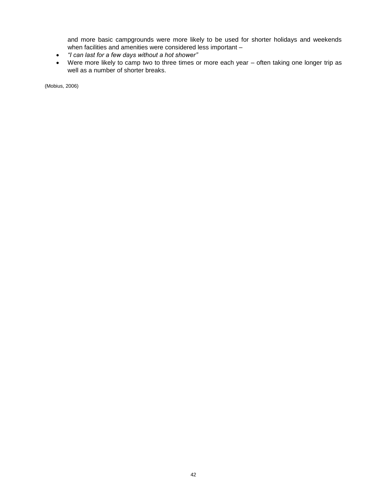and more basic campgrounds were more likely to be used for shorter holidays and weekends when facilities and amenities were considered less important -

- *"I can last for a few days without a hot shower"*
- Were more likely to camp two to three times or more each year often taking one longer trip as well as a number of shorter breaks.

(Mobius, 2006)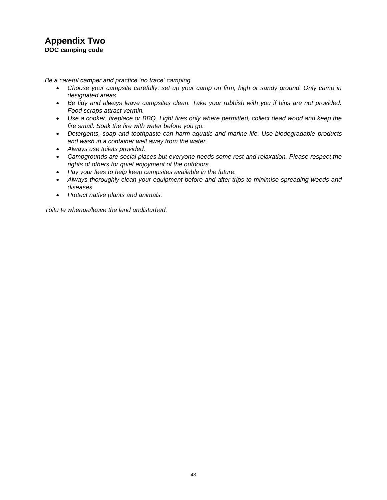### **Appendix Two DOC camping code**

*Be a careful camper and practice "no trace" camping.*

- *Choose your campsite carefully; set up your camp on firm, high or sandy ground. Only camp in designated areas.*
- *Be tidy and always leave campsites clean. Take your rubbish with you if bins are not provided. Food scraps attract vermin.*
- *Use a cooker, fireplace or BBQ. Light fires only where permitted, collect dead wood and keep the fire small. Soak the fire with water before you go.*
- *Detergents, soap and toothpaste can harm aquatic and marine life. Use biodegradable products and wash in a container well away from the water.*
- *Always use toilets provided.*
- *Campgrounds are social places but everyone needs some rest and relaxation. Please respect the rights of others for quiet enjoyment of the outdoors.*
- *Pay your fees to help keep campsites available in the future.*
- *Always thoroughly clean your equipment before and after trips to minimise spreading weeds and diseases.*
- *Protect native plants and animals.*

*Toitu te whenua/leave the land undisturbed.*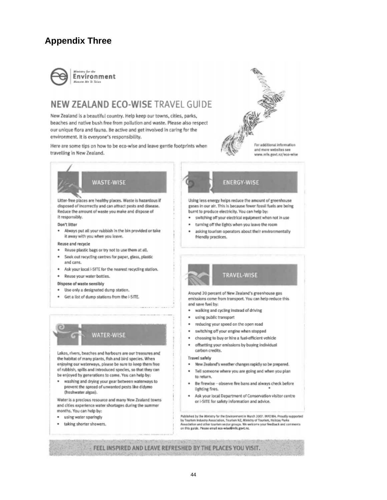# **Appendix Three**



# NEW ZEALAND ECO-WISE TRAVEL GUIDE

New Zealand is a beautiful country. Help keep our towns, cities, parks, beaches and native bush free from pollution and waste. Please also respect our unique flora and fauna. Be active and get involved in caring for the environment. It is everyone's responsibility.

Here are some tips on how to be eco-wise and leave gentle footprints when travelling in New Zealand.



www.mfe.govt.nz/eco-wise



Litter-free places are healthy places. Waste is hazardous if disposed of incorrectly and can attract pests and disease. Reduce the amount of waste you make and dispose of it responsibly.

#### Don't litter

. Always put all your rubbish in the bin provided or take it away with you when you leave.

#### Reuse and recycle

- Reuse plastic bags or try not to use them at all.
- Seek out recycling centres for paper, glass, plastic and cans.
- \* Ask your local I-SITE for the nearest recycling station.
- Reuse your water bottles.

#### Dispose of waste sensibly

- Use only a designated dump station.
- Get a list of dump stations from the i-SITE.



Lakes, rivers, beaches and harbours are our treasures and the habitat of many plants, fish and bird species. When enjoying our waterways, please be sure to keep them free of rubbish, spills and introduced species, so that they can be enjoyed by generations to come. You can help by:

. washing and drying your gear between waterways to prevent the spread of unwanted pests like didymo (freshwater algae).

Water is a precious resource and many New Zealand towns and cities experience water shortages during the summer months. You can help by:

- using water sparingly
- taking shorter showers.



Using less energy helps reduce the amount of greenhouse gases in our air. This is because fewer fossil fuels are being burnt to produce electricity. You can help by:

- switching off your electrical equipment when not in use
- turning off the lights when you leave the room
- asking tourism operators about their environmentally friendly practices.



Around 20 percent of New Zealand's greenhouse gas emissions come from transport. You can help reduce this and save fuel by:

- walking and cycling instead of driving
- using public transport
- reducing your speed on the open road
- switching off your engine when stopped ٠
- choosing to buy or hire a fuel-efficient vehicle
- offsetting your emissions by buying individual carbon credits.

#### **Travel safely**

- . New Zealand's weather changes rapidly so be prepared. Tell someone where you are going and when you plan
- to return.
- Be firewise observe fire bans and always check before lighting fires.
- Ask your local Department of Conservation visitor centre or i-SITE for safety information and advice.

Published by the Ministry for the Environment in March 2007. INFOSIA. Proudly supported<br>by Tourism Industry Association, Tourism NZ, Ministry of Tourism, Holiday Parks Association and other tourism sector groups. We welcome your feedback and comments<br>on this guide. Please ereal eco-wise@mfc.govt.nr.

FEEL INSPIRED AND LEAVE REFRESHED BY THE PLACES YOU VISIT.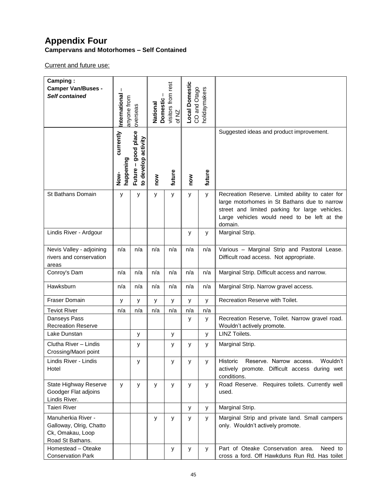## **Appendix Four Campervans and Motorhomes – Self Contained**

Current and future use:

| Camping:<br><b>Camper Van/Buses -</b><br>Self contained                               | $\mathbf{I}$<br>International  | anyone from<br>Domestic<br>National<br>overseas |     | visitors from rest<br>of NZ | <b>Local Domestic</b><br>CO and Otago<br>holidaymakers |        |                                                                                                                                                                                                              |
|---------------------------------------------------------------------------------------|--------------------------------|-------------------------------------------------|-----|-----------------------------|--------------------------------------------------------|--------|--------------------------------------------------------------------------------------------------------------------------------------------------------------------------------------------------------------|
|                                                                                       | currently<br>happening<br>Now- | good place<br>to develop activity<br>Future -   | now | future                      | now                                                    | future | Suggested ideas and product improvement.                                                                                                                                                                     |
| St Bathans Domain                                                                     | y                              | у                                               | y   | у                           | у                                                      | y      | Recreation Reserve. Limited ability to cater for<br>large motorhomes in St Bathans due to narrow<br>street and limited parking for large vehicles.<br>Large vehicles would need to be left at the<br>domain. |
| Lindis River - Ardgour                                                                |                                |                                                 |     |                             | у                                                      | у      | Marginal Strip.                                                                                                                                                                                              |
| Nevis Valley - adjoining<br>rivers and conservation<br>areas                          | n/a                            | n/a                                             | n/a | n/a                         | n/a                                                    | n/a    | Various - Marginal Strip and Pastoral Lease.<br>Difficult road access. Not appropriate.                                                                                                                      |
| Conroy's Dam                                                                          | n/a                            | n/a                                             | n/a | n/a                         | n/a                                                    | n/a    | Marginal Strip. Difficult access and narrow.                                                                                                                                                                 |
| Hawksburn                                                                             | n/a                            | n/a                                             | n/a | n/a                         | n/a                                                    | n/a    | Marginal Strip. Narrow gravel access.                                                                                                                                                                        |
| <b>Fraser Domain</b>                                                                  | У                              | у                                               | У   | у                           | у                                                      | У      | Recreation Reserve with Toilet.                                                                                                                                                                              |
| <b>Teviot River</b>                                                                   | n/a                            | n/a                                             | n/a | n/a                         | n/a                                                    | n/a    |                                                                                                                                                                                                              |
| Danseys Pass<br><b>Recreation Reserve</b>                                             |                                |                                                 |     |                             | у                                                      | У      | Recreation Reserve, Toilet. Narrow gravel road.<br>Wouldn't actively promote.                                                                                                                                |
| Lake Dunstan                                                                          |                                | у                                               |     | у                           |                                                        | У      | <b>LINZ Toilets.</b>                                                                                                                                                                                         |
| Clutha River - Lindis<br>Crossing/Maori point                                         |                                | y                                               |     | у                           | у                                                      | y      | Marginal Strip.                                                                                                                                                                                              |
| Lindis River - Lindis<br>Hotel                                                        |                                | у                                               |     | у                           | у                                                      | У      | Historic<br>Reserve. Narrow access.<br>Wouldn't<br>actively promote. Difficult access during wet<br>conditions.                                                                                              |
| State Highway Reserve<br>Goodger Flat adjoins<br>Lindis River.                        | у                              | у                                               | У   | у                           | У                                                      | y      | Road Reserve. Requires toilets. Currently well<br>used.                                                                                                                                                      |
| <b>Taieri River</b>                                                                   |                                |                                                 |     |                             | у                                                      | У      | Marginal Strip.                                                                                                                                                                                              |
| Manuherkia River -<br>Galloway, Olrig, Chatto<br>Ck, Omakau, Loop<br>Road St Bathans. |                                |                                                 | У   | У                           | У                                                      | У      | Marginal Strip and private land. Small campers<br>only. Wouldn't actively promote.                                                                                                                           |
| Homestead - Oteake<br><b>Conservation Park</b>                                        |                                |                                                 |     | у                           | у                                                      | У      | Part of Oteake Conservation area.<br>Need to<br>cross a ford. Off Hawkduns Run Rd. Has toilet                                                                                                                |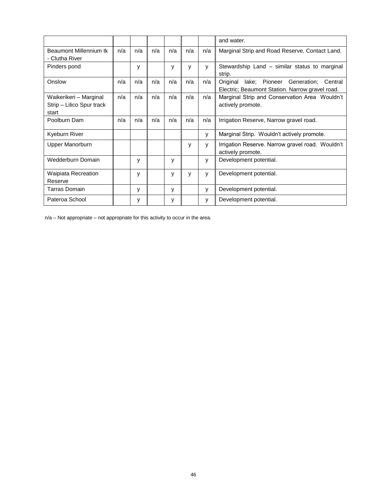|                                                              |     |     |     |     |     |     | and water.                                                                                             |
|--------------------------------------------------------------|-----|-----|-----|-----|-----|-----|--------------------------------------------------------------------------------------------------------|
| Beaumont Millennium tk<br>- Clutha River                     | n/a | n/a | n/a | n/a | n/a | n/a | Marginal Strip and Road Reserve, Contact Land.                                                         |
| Pinders pond                                                 |     | у   |     | y   | y   | у   | Stewardship Land – similar status to marginal<br>strip.                                                |
| Onslow                                                       | n/a | n/a | n/a | n/a | n/a | n/a | Pioneer Generation;<br>Original<br>lake;<br>Central<br>Electric; Beaumont Station. Narrow gravel road. |
| Waikerikeri - Marginal<br>Strip - Lilico Spur track<br>start | n/a | n/a | n/a | n/a | n/a | n/a | Marginal Strip and Conservation Area Wouldn't<br>actively promote.                                     |
| Poolburn Dam                                                 | n/a | n/a | n/a | n/a | n/a | n/a | Irrigation Reserve, Narrow gravel road.                                                                |
| Kyeburn River                                                |     |     |     |     |     | y   | Marginal Strip. Wouldn't actively promote.                                                             |
| Upper Manorburn                                              |     |     |     |     | у   | у   | Irrigation Reserve. Narrow gravel road. Wouldn't<br>actively promote.                                  |
| Wedderburn Domain                                            |     | у   |     | y   |     | у   | Development potential.                                                                                 |
| Waipiata Recreation<br>Reserve                               |     | y   |     | y   | y   | у   | Development potential.                                                                                 |
| Tarras Domain                                                |     | y   |     | y   |     | y   | Development potential.                                                                                 |
| Pateroa School                                               |     | у   |     | У   |     | у   | Development potential.                                                                                 |

n/a – Not appropriate – not appropriate for this activity to occur in the area.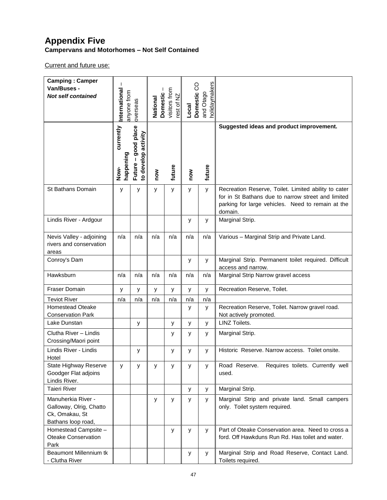## **Appendix Five Campervans and Motorhomes – Not Self Contained**

Current and future use:

| <b>Camping: Camper</b><br>Van/Buses -<br><b>Not self contained</b>                    | International<br>visitors from<br>anyone from<br>Domestic<br>$\frac{N}{2}$<br>National<br>overseas<br>$\mathcal{Q}$<br>tse |                                            | holidaymakers<br>Domestic CO<br>and Otago<br>Local |        |     |        |                                                                                                                                                                            |
|---------------------------------------------------------------------------------------|----------------------------------------------------------------------------------------------------------------------------|--------------------------------------------|----------------------------------------------------|--------|-----|--------|----------------------------------------------------------------------------------------------------------------------------------------------------------------------------|
|                                                                                       | currently<br>happening<br>Now-                                                                                             | Future - good place<br>to develop activity | now                                                | future | Now | future | Suggested ideas and product improvement.                                                                                                                                   |
| St Bathans Domain                                                                     | у                                                                                                                          | у                                          | у                                                  | y      | у   | y      | Recreation Reserve, Toilet. Limited ability to cater<br>for in St Bathans due to narrow street and limited<br>parking for large vehicles. Need to remain at the<br>domain. |
| Lindis River - Ardgour                                                                |                                                                                                                            |                                            |                                                    |        | у   | y      | Marginal Strip.                                                                                                                                                            |
| Nevis Valley - adjoining<br>rivers and conservation<br>areas                          | n/a                                                                                                                        | n/a                                        | n/a                                                | n/a    | n/a | n/a    | Various - Marginal Strip and Private Land.                                                                                                                                 |
| Conroy's Dam                                                                          |                                                                                                                            |                                            |                                                    |        | y   | y      | Marginal Strip. Permanent toilet required. Difficult<br>access and narrow.                                                                                                 |
| Hawksburn                                                                             | n/a                                                                                                                        | n/a                                        | n/a                                                | n/a    | n/a | n/a    | Marginal Strip Narrow gravel access                                                                                                                                        |
| Fraser Domain                                                                         | У                                                                                                                          | У                                          | У                                                  | У      | у   | y      | Recreation Reserve, Toilet.                                                                                                                                                |
| <b>Teviot River</b>                                                                   | n/a                                                                                                                        | n/a                                        | n/a                                                | n/a    | n/a | n/a    |                                                                                                                                                                            |
| <b>Homestead Oteake</b><br><b>Conservation Park</b>                                   |                                                                                                                            |                                            |                                                    |        | у   | y      | Recreation Reserve, Toilet. Narrow gravel road.<br>Not actively promoted.                                                                                                  |
| Lake Dunstan                                                                          |                                                                                                                            | у                                          |                                                    | У      | у   | У      | <b>LINZ Toilets.</b>                                                                                                                                                       |
| Clutha River - Lindis<br>Crossing/Maori point                                         |                                                                                                                            |                                            |                                                    | у      | у   | y      | Marginal Strip.                                                                                                                                                            |
| Lindis River - Lindis<br>Hotel                                                        |                                                                                                                            | у                                          |                                                    | у      | у   | У      | Historic Reserve. Narrow access. Toilet onsite.                                                                                                                            |
| State Highway Reserve<br>Goodger Flat adjoins<br>Lindis River.                        | у                                                                                                                          | у                                          | у                                                  | У      | У   | y      | Requires toilets. Currently well<br>Road Reserve.<br>used.                                                                                                                 |
| <b>Taieri River</b>                                                                   |                                                                                                                            |                                            |                                                    |        | y   | y      | Marginal Strip.                                                                                                                                                            |
| Manuherkia River -<br>Galloway, Olrig, Chatto<br>Ck, Omakau, St<br>Bathans loop road, |                                                                                                                            |                                            | y                                                  | y      | у   | y      | Marginal Strip and private land. Small campers<br>only. Toilet system required.                                                                                            |
| Homestead Campsite -<br><b>Oteake Conservation</b><br>Park                            |                                                                                                                            |                                            |                                                    | у      | у   | У      | Part of Oteake Conservation area. Need to cross a<br>ford. Off Hawkduns Run Rd. Has toilet and water.                                                                      |
| Beaumont Millennium tk<br>- Clutha River                                              |                                                                                                                            |                                            |                                                    |        | у   | У      | Marginal Strip and Road Reserve, Contact Land.<br>Toilets required.                                                                                                        |